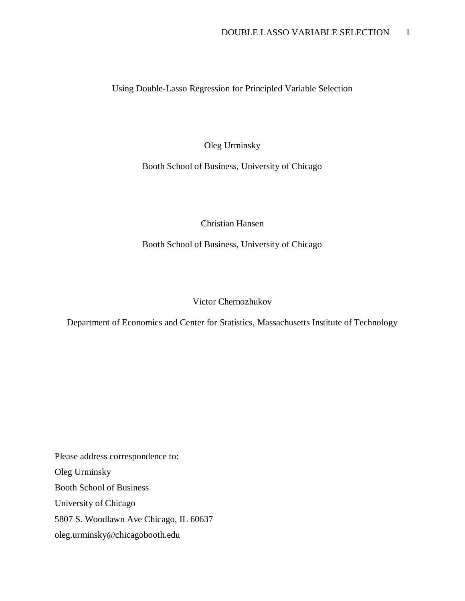Using Double-Lasso Regression for Principled Variable Selection

Oleg Urminsky

Booth School of Business, University of Chicago

Christian Hansen

Booth School of Business, University of Chicago

Victor Chernozhukov

Department of Economics and Center for Statistics, Massachusetts Institute of Technology

Please address correspondence to: Oleg Urminsky Booth School of Business University of Chicago 5807 S. Woodlawn Ave Chicago, IL 60637 oleg.urminsky@chicagobooth.edu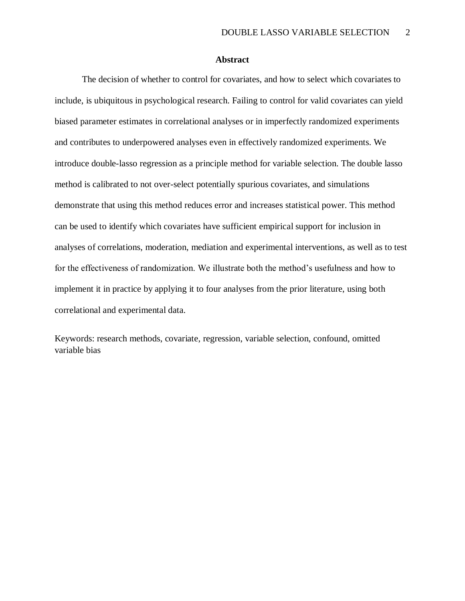### **Abstract**

The decision of whether to control for covariates, and how to select which covariates to include, is ubiquitous in psychological research. Failing to control for valid covariates can yield biased parameter estimates in correlational analyses or in imperfectly randomized experiments and contributes to underpowered analyses even in effectively randomized experiments. We introduce double-lasso regression as a principle method for variable selection. The double lasso method is calibrated to not over-select potentially spurious covariates, and simulations demonstrate that using this method reduces error and increases statistical power. This method can be used to identify which covariates have sufficient empirical support for inclusion in analyses of correlations, moderation, mediation and experimental interventions, as well as to test for the effectiveness of randomization. We illustrate both the method's usefulness and how to implement it in practice by applying it to four analyses from the prior literature, using both correlational and experimental data.

Keywords: research methods, covariate, regression, variable selection, confound, omitted variable bias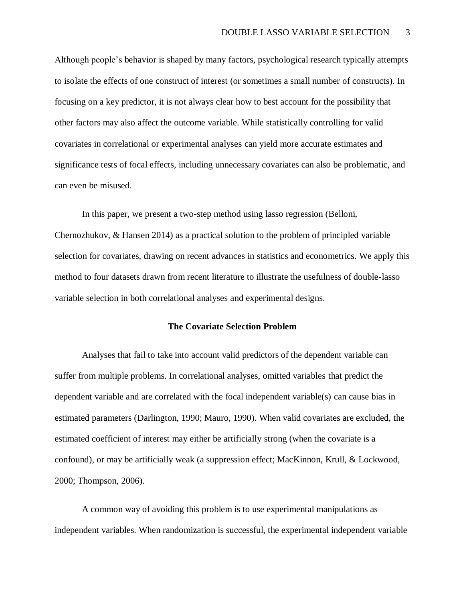Although people's behavior is shaped by many factors, psychological research typically attempts to isolate the effects of one construct of interest (or sometimes a small number of constructs). In focusing on a key predictor, it is not always clear how to best account for the possibility that other factors may also affect the outcome variable. While statistically controlling for valid covariates in correlational or experimental analyses can yield more accurate estimates and significance tests of focal effects, including unnecessary covariates can also be problematic, and can even be misused.

In this paper, we present a two-step method using lasso regression (Belloni, Chernozhukov, & Hansen 2014) as a practical solution to the problem of principled variable selection for covariates, drawing on recent advances in statistics and econometrics. We apply this method to four datasets drawn from recent literature to illustrate the usefulness of double-lasso variable selection in both correlational analyses and experimental designs.

# **The Covariate Selection Problem**

Analyses that fail to take into account valid predictors of the dependent variable can suffer from multiple problems. In correlational analyses, omitted variables that predict the dependent variable and are correlated with the focal independent variable(s) can cause bias in estimated parameters (Darlington, 1990; Mauro, 1990). When valid covariates are excluded, the estimated coefficient of interest may either be artificially strong (when the covariate is a confound), or may be artificially weak (a suppression effect; MacKinnon, Krull, & Lockwood, 2000; Thompson, 2006).

A common way of avoiding this problem is to use experimental manipulations as independent variables. When randomization is successful, the experimental independent variable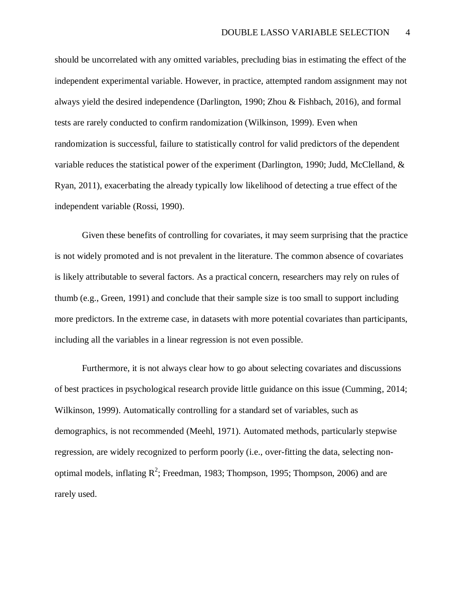should be uncorrelated with any omitted variables, precluding bias in estimating the effect of the independent experimental variable. However, in practice, attempted random assignment may not always yield the desired independence (Darlington, 1990; Zhou & Fishbach, 2016), and formal tests are rarely conducted to confirm randomization (Wilkinson, 1999). Even when randomization is successful, failure to statistically control for valid predictors of the dependent variable reduces the statistical power of the experiment (Darlington, 1990; Judd, McClelland, & Ryan, 2011), exacerbating the already typically low likelihood of detecting a true effect of the independent variable (Rossi, 1990).

Given these benefits of controlling for covariates, it may seem surprising that the practice is not widely promoted and is not prevalent in the literature. The common absence of covariates is likely attributable to several factors. As a practical concern, researchers may rely on rules of thumb (e.g., Green, 1991) and conclude that their sample size is too small to support including more predictors. In the extreme case, in datasets with more potential covariates than participants, including all the variables in a linear regression is not even possible.

Furthermore, it is not always clear how to go about selecting covariates and discussions of best practices in psychological research provide little guidance on this issue (Cumming, 2014; Wilkinson, 1999). Automatically controlling for a standard set of variables, such as demographics, is not recommended (Meehl, 1971). Automated methods, particularly stepwise regression, are widely recognized to perform poorly (i.e., over-fitting the data, selecting nonoptimal models, inflating  $R^2$ ; Freedman, 1983; Thompson, 1995; Thompson, 2006) and are rarely used.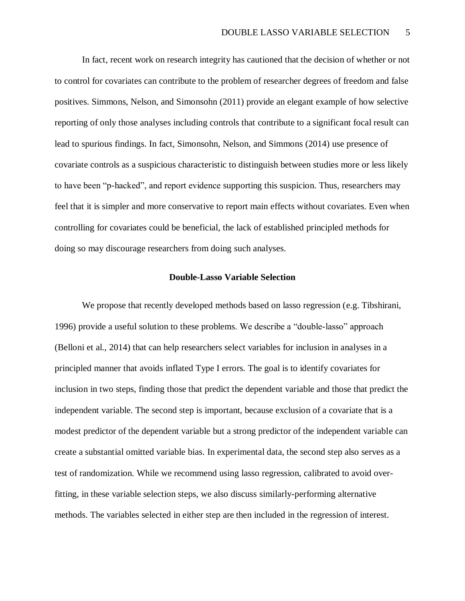In fact, recent work on research integrity has cautioned that the decision of whether or not to control for covariates can contribute to the problem of researcher degrees of freedom and false positives. Simmons, Nelson, and Simonsohn (2011) provide an elegant example of how selective reporting of only those analyses including controls that contribute to a significant focal result can lead to spurious findings. In fact, Simonsohn, Nelson, and Simmons (2014) use presence of covariate controls as a suspicious characteristic to distinguish between studies more or less likely to have been "p-hacked", and report evidence supporting this suspicion. Thus, researchers may feel that it is simpler and more conservative to report main effects without covariates. Even when controlling for covariates could be beneficial, the lack of established principled methods for doing so may discourage researchers from doing such analyses.

### **Double-Lasso Variable Selection**

We propose that recently developed methods based on lasso regression (e.g. Tibshirani, 1996) provide a useful solution to these problems. We describe a "double-lasso" approach (Belloni et al., 2014) that can help researchers select variables for inclusion in analyses in a principled manner that avoids inflated Type I errors. The goal is to identify covariates for inclusion in two steps, finding those that predict the dependent variable and those that predict the independent variable. The second step is important, because exclusion of a covariate that is a modest predictor of the dependent variable but a strong predictor of the independent variable can create a substantial omitted variable bias. In experimental data, the second step also serves as a test of randomization. While we recommend using lasso regression, calibrated to avoid overfitting, in these variable selection steps, we also discuss similarly-performing alternative methods. The variables selected in either step are then included in the regression of interest.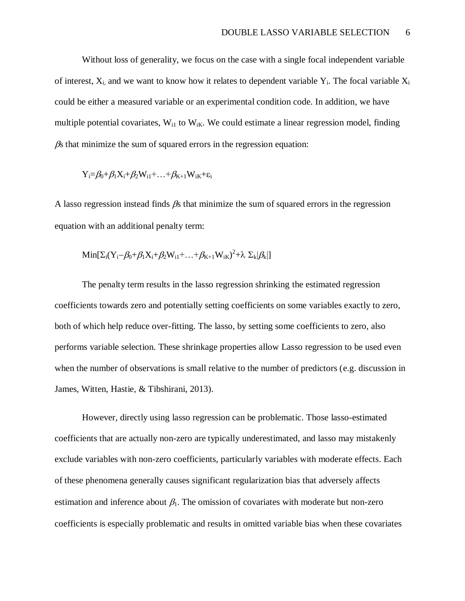Without loss of generality, we focus on the case with a single focal independent variable of interest,  $X_i$  and we want to know how it relates to dependent variable  $Y_i$ . The focal variable  $X_i$ could be either a measured variable or an experimental condition code. In addition, we have multiple potential covariates,  $W_{i1}$  to  $W_{iK}$ . We could estimate a linear regression model, finding  $\beta$ s that minimize the sum of squared errors in the regression equation:

$$
Y_i = \beta_0 + \beta_1 X_i + \beta_2 W_{i1} + \ldots + \beta_{K+1} W_{iK} + \epsilon_i
$$

A lasso regression instead finds  $\beta$ s that minimize the sum of squared errors in the regression equation with an additional penalty term:

$$
Min[\Sigma_i(Y_i-\beta_0+\beta_1X_i+\beta_2W_{i1}+ \ldots +\beta_{K+1}W_{iK})^2 + \lambda \ \Sigma_k | \beta_k|]
$$

The penalty term results in the lasso regression shrinking the estimated regression coefficients towards zero and potentially setting coefficients on some variables exactly to zero, both of which help reduce over-fitting. The lasso, by setting some coefficients to zero, also performs variable selection. These shrinkage properties allow Lasso regression to be used even when the number of observations is small relative to the number of predictors (e.g. discussion in James, Witten, Hastie, & Tibshirani, 2013).

However, directly using lasso regression can be problematic. Those lasso-estimated coefficients that are actually non-zero are typically underestimated, and lasso may mistakenly exclude variables with non-zero coefficients, particularly variables with moderate effects. Each of these phenomena generally causes significant regularization bias that adversely affects estimation and inference about  $\beta_1$ . The omission of covariates with moderate but non-zero coefficients is especially problematic and results in omitted variable bias when these covariates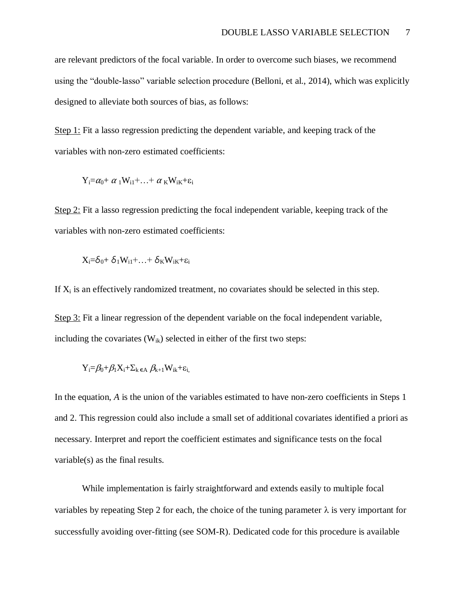are relevant predictors of the focal variable. In order to overcome such biases, we recommend using the "double-lasso" variable selection procedure (Belloni, et al., 2014), which was explicitly designed to alleviate both sources of bias, as follows:

Step 1: Fit a lasso regression predicting the dependent variable, and keeping track of the variables with non-zero estimated coefficients:

$$
Y_i = \alpha_0 + \alpha_1 W_{i1} + \ldots + \alpha_K W_{iK} + \epsilon_i
$$

Step 2: Fit a lasso regression predicting the focal independent variable, keeping track of the variables with non-zero estimated coefficients:

$$
X_i = \delta_0 + \delta_1 W_{i1} + \ldots + \delta_K W_{iK} + \epsilon_i
$$

If  $X_i$  is an effectively randomized treatment, no covariates should be selected in this step.

Step 3: Fit a linear regression of the dependent variable on the focal independent variable, including the covariates  $(W_{ik})$  selected in either of the first two steps:

$$
Y_i = \beta_0 + \beta_1 X_i + \Sigma_k \epsilon_A \beta_{k+1} W_{ik} + \epsilon_i
$$

In the equation, *A* is the union of the variables estimated to have non-zero coefficients in Steps 1 and 2. This regression could also include a small set of additional covariates identified a priori as necessary. Interpret and report the coefficient estimates and significance tests on the focal variable(s) as the final results.

While implementation is fairly straightforward and extends easily to multiple focal variables by repeating Step 2 for each, the choice of the tuning parameter  $\lambda$  is very important for successfully avoiding over-fitting (see SOM-R). Dedicated code for this procedure is available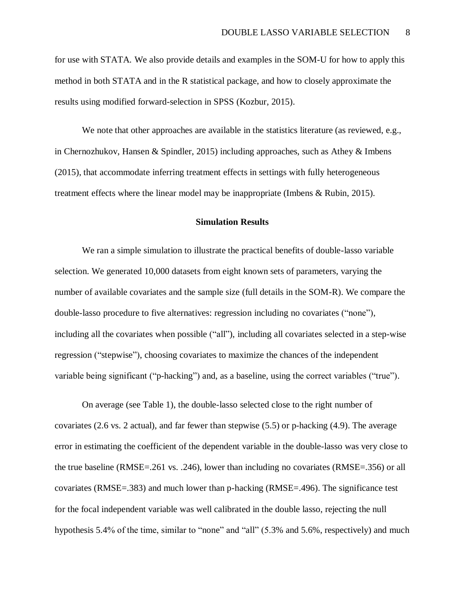for use with STATA. We also provide details and examples in the SOM-U for how to apply this method in both STATA and in the R statistical package, and how to closely approximate the results using modified forward-selection in SPSS (Kozbur, 2015).

We note that other approaches are available in the statistics literature (as reviewed, e.g., in Chernozhukov, Hansen & Spindler, 2015) including approaches, such as Athey & Imbens (2015), that accommodate inferring treatment effects in settings with fully heterogeneous treatment effects where the linear model may be inappropriate (Imbens & Rubin, 2015).

# **Simulation Results**

We ran a simple simulation to illustrate the practical benefits of double-lasso variable selection. We generated 10,000 datasets from eight known sets of parameters, varying the number of available covariates and the sample size (full details in the SOM-R). We compare the double-lasso procedure to five alternatives: regression including no covariates ("none"), including all the covariates when possible ("all"), including all covariates selected in a step-wise regression ("stepwise"), choosing covariates to maximize the chances of the independent variable being significant ("p-hacking") and, as a baseline, using the correct variables ("true").

On average (see Table 1), the double-lasso selected close to the right number of covariates (2.6 vs. 2 actual), and far fewer than stepwise (5.5) or p-hacking (4.9). The average error in estimating the coefficient of the dependent variable in the double-lasso was very close to the true baseline (RMSE=.261 vs. .246), lower than including no covariates (RMSE=.356) or all covariates (RMSE=.383) and much lower than p-hacking (RMSE=.496). The significance test for the focal independent variable was well calibrated in the double lasso, rejecting the null hypothesis 5.4% of the time, similar to "none" and "all" (5.3% and 5.6%, respectively) and much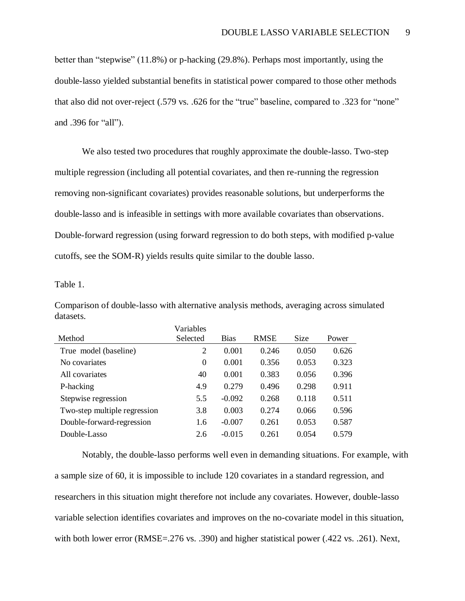better than "stepwise" (11.8%) or p-hacking (29.8%). Perhaps most importantly, using the double-lasso yielded substantial benefits in statistical power compared to those other methods that also did not over-reject (.579 vs. .626 for the "true" baseline, compared to .323 for "none" and .396 for "all").

We also tested two procedures that roughly approximate the double-lasso. Two-step multiple regression (including all potential covariates, and then re-running the regression removing non-significant covariates) provides reasonable solutions, but underperforms the double-lasso and is infeasible in settings with more available covariates than observations. Double-forward regression (using forward regression to do both steps, with modified p-value cutoffs, see the SOM-R) yields results quite similar to the double lasso.

Table 1.

Comparison of double-lasso with alternative analysis methods, averaging across simulated datasets.

|                              | Variables |             |       |       |       |
|------------------------------|-----------|-------------|-------|-------|-------|
| Method                       | Selected  | <b>Bias</b> | RMSE  | Size  | Power |
| True model (baseline)        | 2         | 0.001       | 0.246 | 0.050 | 0.626 |
| No covariates                | 0         | 0.001       | 0.356 | 0.053 | 0.323 |
| All covariates               | 40        | 0.001       | 0.383 | 0.056 | 0.396 |
| P-hacking                    | 4.9       | 0.279       | 0.496 | 0.298 | 0.911 |
| Stepwise regression          | 5.5       | $-0.092$    | 0.268 | 0.118 | 0.511 |
| Two-step multiple regression | 3.8       | 0.003       | 0.274 | 0.066 | 0.596 |
| Double-forward-regression    | 1.6       | $-0.007$    | 0.261 | 0.053 | 0.587 |
| Double-Lasso                 | 2.6       | $-0.015$    | 0.261 | 0.054 | 0.579 |
|                              |           |             |       |       |       |

Notably, the double-lasso performs well even in demanding situations. For example, with a sample size of 60, it is impossible to include 120 covariates in a standard regression, and researchers in this situation might therefore not include any covariates. However, double-lasso variable selection identifies covariates and improves on the no-covariate model in this situation, with both lower error (RMSE=.276 vs. .390) and higher statistical power (.422 vs. .261). Next,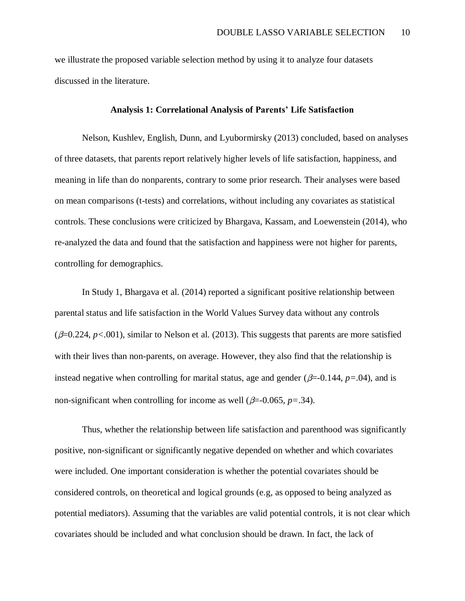we illustrate the proposed variable selection method by using it to analyze four datasets discussed in the literature.

### **Analysis 1: Correlational Analysis of Parents' Life Satisfaction**

Nelson, Kushlev, English, Dunn, and Lyubormirsky (2013) concluded, based on analyses of three datasets, that parents report relatively higher levels of life satisfaction, happiness, and meaning in life than do nonparents, contrary to some prior research. Their analyses were based on mean comparisons (t-tests) and correlations, without including any covariates as statistical controls. These conclusions were criticized by Bhargava, Kassam, and Loewenstein (2014), who re-analyzed the data and found that the satisfaction and happiness were not higher for parents, controlling for demographics.

In Study 1, Bhargava et al. (2014) reported a significant positive relationship between parental status and life satisfaction in the World Values Survey data without any controls ( $\beta$ =0.224,  $p$ <.001), similar to Nelson et al. (2013). This suggests that parents are more satisfied with their lives than non-parents, on average. However, they also find that the relationship is instead negative when controlling for marital status, age and gender ( $\beta$ =-0.144,  $p$ =.04), and is non-significant when controlling for income as well ( $\beta$ =-0.065, *p*=.34).

Thus, whether the relationship between life satisfaction and parenthood was significantly positive, non-significant or significantly negative depended on whether and which covariates were included. One important consideration is whether the potential covariates should be considered controls, on theoretical and logical grounds (e.g, as opposed to being analyzed as potential mediators). Assuming that the variables are valid potential controls, it is not clear which covariates should be included and what conclusion should be drawn. In fact, the lack of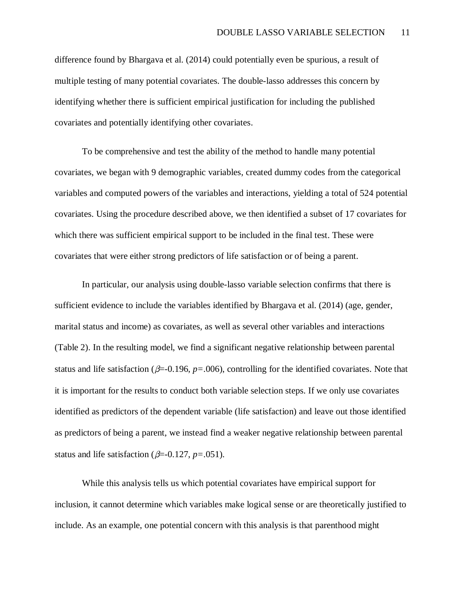difference found by Bhargava et al. (2014) could potentially even be spurious, a result of multiple testing of many potential covariates. The double-lasso addresses this concern by identifying whether there is sufficient empirical justification for including the published covariates and potentially identifying other covariates.

To be comprehensive and test the ability of the method to handle many potential covariates, we began with 9 demographic variables, created dummy codes from the categorical variables and computed powers of the variables and interactions, yielding a total of 524 potential covariates. Using the procedure described above, we then identified a subset of 17 covariates for which there was sufficient empirical support to be included in the final test. These were covariates that were either strong predictors of life satisfaction or of being a parent.

In particular, our analysis using double-lasso variable selection confirms that there is sufficient evidence to include the variables identified by Bhargava et al. (2014) (age, gender, marital status and income) as covariates, as well as several other variables and interactions (Table 2). In the resulting model, we find a significant negative relationship between parental status and life satisfaction ( $\beta$ =-0.196,  $p$ =.006), controlling for the identified covariates. Note that it is important for the results to conduct both variable selection steps. If we only use covariates identified as predictors of the dependent variable (life satisfaction) and leave out those identified as predictors of being a parent, we instead find a weaker negative relationship between parental status and life satisfaction ( $\beta$ =-0.127, *p*=.051).

While this analysis tells us which potential covariates have empirical support for inclusion, it cannot determine which variables make logical sense or are theoretically justified to include. As an example, one potential concern with this analysis is that parenthood might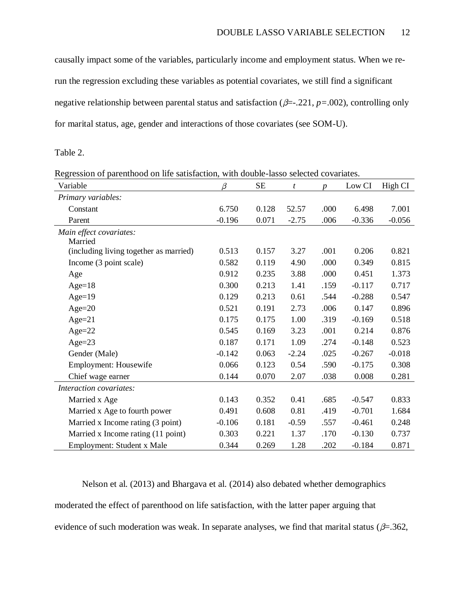causally impact some of the variables, particularly income and employment status. When we rerun the regression excluding these variables as potential covariates, we still find a significant negative relationship between parental status and satisfaction  $(\beta = 0.221, p = 0.002)$ , controlling only for marital status, age, gender and interactions of those covariates (see SOM-U).

Table 2.

Regression of parenthood on life satisfaction, with double-lasso selected covariates.

| Variable                               | β        | <b>SE</b> | t       | $\boldsymbol{v}$ | Low CI   | High CI  |
|----------------------------------------|----------|-----------|---------|------------------|----------|----------|
| Primary variables:                     |          |           |         |                  |          |          |
| Constant                               | 6.750    | 0.128     | 52.57   | .000             | 6.498    | 7.001    |
| Parent                                 | $-0.196$ | 0.071     | $-2.75$ | .006             | $-0.336$ | $-0.056$ |
| Main effect covariates:                |          |           |         |                  |          |          |
| Married                                |          |           |         |                  |          |          |
| (including living together as married) | 0.513    | 0.157     | 3.27    | .001             | 0.206    | 0.821    |
| Income (3 point scale)                 | 0.582    | 0.119     | 4.90    | .000             | 0.349    | 0.815    |
| Age                                    | 0.912    | 0.235     | 3.88    | .000             | 0.451    | 1.373    |
| Age= $18$                              | 0.300    | 0.213     | 1.41    | .159             | $-0.117$ | 0.717    |
| $Age=19$                               | 0.129    | 0.213     | 0.61    | .544             | $-0.288$ | 0.547    |
| $Age=20$                               | 0.521    | 0.191     | 2.73    | .006             | 0.147    | 0.896    |
| $Age=21$                               | 0.175    | 0.175     | 1.00    | .319             | $-0.169$ | 0.518    |
| $Age=22$                               | 0.545    | 0.169     | 3.23    | .001             | 0.214    | 0.876    |
| Age= $23$                              | 0.187    | 0.171     | 1.09    | .274             | $-0.148$ | 0.523    |
| Gender (Male)                          | $-0.142$ | 0.063     | $-2.24$ | .025             | $-0.267$ | $-0.018$ |
| Employment: Housewife                  | 0.066    | 0.123     | 0.54    | .590             | $-0.175$ | 0.308    |
| Chief wage earner                      | 0.144    | 0.070     | 2.07    | .038             | 0.008    | 0.281    |
| Interaction covariates:                |          |           |         |                  |          |          |
| Married x Age                          | 0.143    | 0.352     | 0.41    | .685             | $-0.547$ | 0.833    |
| Married x Age to fourth power          | 0.491    | 0.608     | 0.81    | .419             | $-0.701$ | 1.684    |
| Married x Income rating (3 point)      | $-0.106$ | 0.181     | $-0.59$ | .557             | $-0.461$ | 0.248    |
| Married x Income rating (11 point)     | 0.303    | 0.221     | 1.37    | .170             | $-0.130$ | 0.737    |
| Employment: Student x Male             | 0.344    | 0.269     | 1.28    | .202             | $-0.184$ | 0.871    |

Nelson et al. (2013) and Bhargava et al. (2014) also debated whether demographics moderated the effect of parenthood on life satisfaction, with the latter paper arguing that evidence of such moderation was weak. In separate analyses, we find that marital status ( $\beta$ =.362,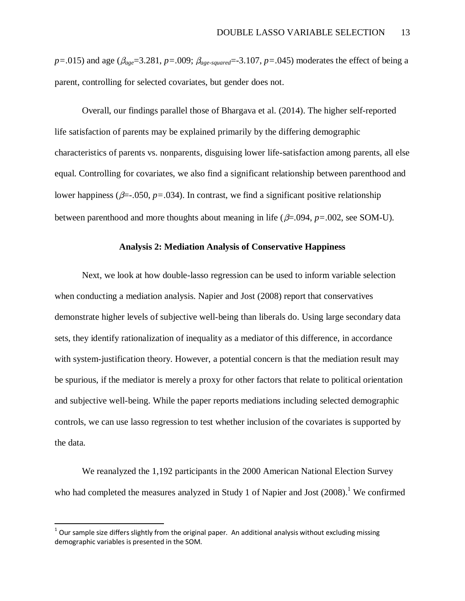$p=0.015$ ) and age ( $\beta_{age}=3.281$ ,  $p=.009$ ;  $\beta_{age-squared}=3.107$ ,  $p=.045$ ) moderates the effect of being a parent, controlling for selected covariates, but gender does not.

Overall, our findings parallel those of Bhargava et al. (2014). The higher self-reported life satisfaction of parents may be explained primarily by the differing demographic characteristics of parents vs. nonparents, disguising lower life-satisfaction among parents, all else equal. Controlling for covariates, we also find a significant relationship between parenthood and lower happiness ( $\beta = .050$ ,  $p = .034$ ). In contrast, we find a significant positive relationship between parenthood and more thoughts about meaning in life ( $\beta$ =.094,  $p$ =.002, see SOM-U).

### **Analysis 2: Mediation Analysis of Conservative Happiness**

Next, we look at how double-lasso regression can be used to inform variable selection when conducting a mediation analysis. Napier and Jost (2008) report that conservatives demonstrate higher levels of subjective well-being than liberals do. Using large secondary data sets, they identify rationalization of inequality as a mediator of this difference, in accordance with system-justification theory. However, a potential concern is that the mediation result may be spurious, if the mediator is merely a proxy for other factors that relate to political orientation and subjective well-being. While the paper reports mediations including selected demographic controls, we can use lasso regression to test whether inclusion of the covariates is supported by the data.

We reanalyzed the 1,192 participants in the 2000 American National Election Survey who had completed the measures analyzed in Study 1 of Napier and Jost  $(2008)$ .<sup>1</sup> We confirmed

 $\overline{a}$ 

 $^1$  Our sample size differs slightly from the original paper. An additional analysis without excluding missing demographic variables is presented in the SOM.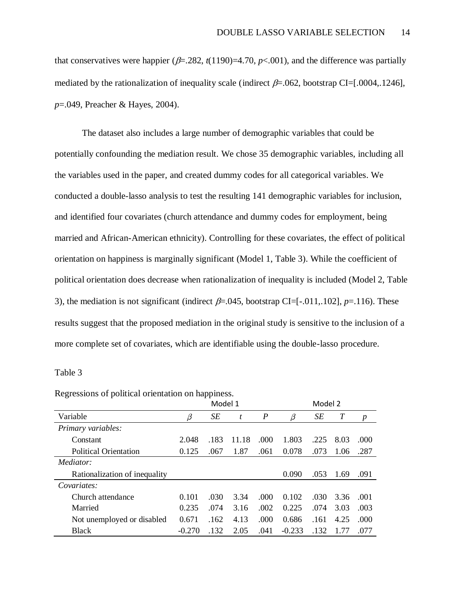that conservatives were happier ( $\beta$ =.282, *t*(1190)=4.70, *p*<.001), and the difference was partially mediated by the rationalization of inequality scale (indirect  $\beta$ =.062, bootstrap CI=[.0004,.1246], *p*=.049, Preacher & Hayes, 2004).

The dataset also includes a large number of demographic variables that could be potentially confounding the mediation result. We chose 35 demographic variables, including all the variables used in the paper, and created dummy codes for all categorical variables. We conducted a double-lasso analysis to test the resulting 141 demographic variables for inclusion, and identified four covariates (church attendance and dummy codes for employment, being married and African-American ethnicity). Controlling for these covariates, the effect of political orientation on happiness is marginally significant (Model 1, Table 3). While the coefficient of political orientation does decrease when rationalization of inequality is included (Model 2, Table 3), the mediation is not significant (indirect  $\beta$ =.045, bootstrap CI=[-.011,.102], *p*=.116). These results suggest that the proposed mediation in the original study is sensitive to the inclusion of a more complete set of covariates, which are identifiable using the double-lasso procedure.

#### Table 3

|                               |          | Model 1 |       |                  |          | Model 2 |      |      |
|-------------------------------|----------|---------|-------|------------------|----------|---------|------|------|
| Variable                      | β        | SE      | t     | $\boldsymbol{P}$ | $\beta$  | SE      | T    | p    |
| Primary variables:            |          |         |       |                  |          |         |      |      |
| Constant                      | 2.048    | .183    | 11.18 | .000             | 1.803    | .225    | 8.03 | .000 |
| <b>Political Orientation</b>  | 0.125    | .067    | 1.87  | .061             | 0.078    | .073    | 1.06 | .287 |
| Mediator:                     |          |         |       |                  |          |         |      |      |
| Rationalization of inequality |          |         |       |                  | 0.090    | .053    | 1.69 | .091 |
| Covariates:                   |          |         |       |                  |          |         |      |      |
| Church attendance             | 0.101    | .030    | 3.34  | .000             | 0.102    | .030    | 3.36 | .001 |
| Married                       | 0.235    | .074    | 3.16  | .002             | 0.225    | .074    | 3.03 | .003 |
| Not unemployed or disabled    | 0.671    | .162    | 4.13  | .000             | 0.686    | .161    | 4.25 | .000 |
| <b>Black</b>                  | $-0.270$ | .132    | 2.05  | .041             | $-0.233$ | .132    | 1 77 | .077 |

Regressions of political orientation on happiness.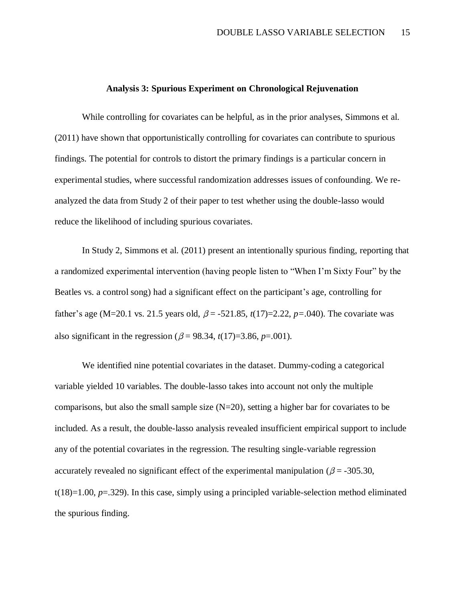#### **Analysis 3: Spurious Experiment on Chronological Rejuvenation**

While controlling for covariates can be helpful, as in the prior analyses, Simmons et al. (2011) have shown that opportunistically controlling for covariates can contribute to spurious findings. The potential for controls to distort the primary findings is a particular concern in experimental studies, where successful randomization addresses issues of confounding. We reanalyzed the data from Study 2 of their paper to test whether using the double-lasso would reduce the likelihood of including spurious covariates.

In Study 2, Simmons et al. (2011) present an intentionally spurious finding, reporting that a randomized experimental intervention (having people listen to "When I'm Sixty Four" by the Beatles vs. a control song) had a significant effect on the participant's age, controlling for father's age (M=20.1 vs. 21.5 years old,  $\beta$  = -521.85, *t*(17)=2.22, *p*=.040). The covariate was also significant in the regression ( $\beta$  = 98.34, *t*(17)=3.86, *p*=.001).

We identified nine potential covariates in the dataset. Dummy-coding a categorical variable yielded 10 variables. The double-lasso takes into account not only the multiple comparisons, but also the small sample size  $(N=20)$ , setting a higher bar for covariates to be included. As a result, the double-lasso analysis revealed insufficient empirical support to include any of the potential covariates in the regression. The resulting single-variable regression accurately revealed no significant effect of the experimental manipulation ( $\beta$  = -305.30, t(18)=1.00, *p*=.329). In this case, simply using a principled variable-selection method eliminated the spurious finding.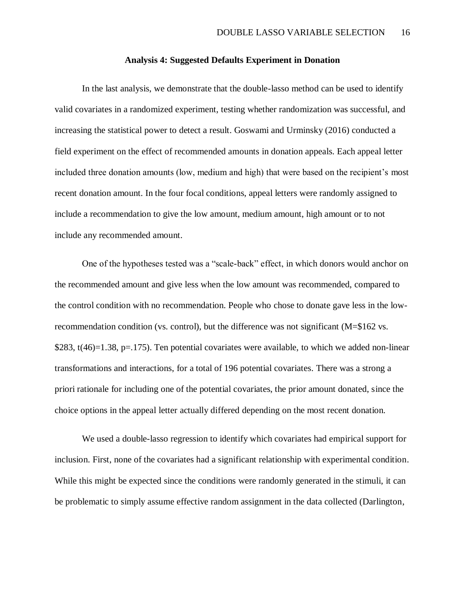#### **Analysis 4: Suggested Defaults Experiment in Donation**

In the last analysis, we demonstrate that the double-lasso method can be used to identify valid covariates in a randomized experiment, testing whether randomization was successful, and increasing the statistical power to detect a result. Goswami and Urminsky (2016) conducted a field experiment on the effect of recommended amounts in donation appeals. Each appeal letter included three donation amounts (low, medium and high) that were based on the recipient's most recent donation amount. In the four focal conditions, appeal letters were randomly assigned to include a recommendation to give the low amount, medium amount, high amount or to not include any recommended amount.

One of the hypotheses tested was a "scale-back" effect, in which donors would anchor on the recommended amount and give less when the low amount was recommended, compared to the control condition with no recommendation. People who chose to donate gave less in the lowrecommendation condition (vs. control), but the difference was not significant (M=\$162 vs.  $$283, t(46)=1.38, p=.175$ . Ten potential covariates were available, to which we added non-linear transformations and interactions, for a total of 196 potential covariates. There was a strong a priori rationale for including one of the potential covariates, the prior amount donated, since the choice options in the appeal letter actually differed depending on the most recent donation.

We used a double-lasso regression to identify which covariates had empirical support for inclusion. First, none of the covariates had a significant relationship with experimental condition. While this might be expected since the conditions were randomly generated in the stimuli, it can be problematic to simply assume effective random assignment in the data collected (Darlington,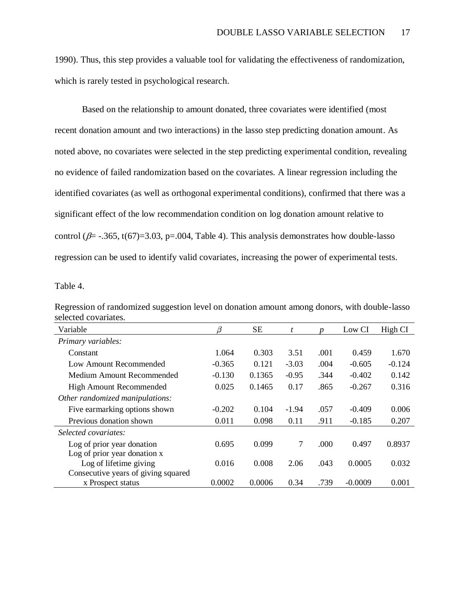1990). Thus, this step provides a valuable tool for validating the effectiveness of randomization, which is rarely tested in psychological research.

Based on the relationship to amount donated, three covariates were identified (most recent donation amount and two interactions) in the lasso step predicting donation amount. As noted above, no covariates were selected in the step predicting experimental condition, revealing no evidence of failed randomization based on the covariates. A linear regression including the identified covariates (as well as orthogonal experimental conditions), confirmed that there was a significant effect of the low recommendation condition on log donation amount relative to control ( $\beta$ = -.365, t(67)=3.03, p=.004, Table 4). This analysis demonstrates how double-lasso regression can be used to identify valid covariates, increasing the power of experimental tests.

Table 4.

| SULULU UVAHALUS.                    |          |           |         |      |           |          |
|-------------------------------------|----------|-----------|---------|------|-----------|----------|
| Variable                            | β        | <b>SE</b> | t       | n    | Low CI    | High CI  |
| Primary variables:                  |          |           |         |      |           |          |
| Constant                            | 1.064    | 0.303     | 3.51    | .001 | 0.459     | 1.670    |
| Low Amount Recommended              | $-0.365$ | 0.121     | $-3.03$ | .004 | $-0.605$  | $-0.124$ |
| Medium Amount Recommended           | $-0.130$ | 0.1365    | $-0.95$ | .344 | $-0.402$  | 0.142    |
| High Amount Recommended             | 0.025    | 0.1465    | 0.17    | .865 | $-0.267$  | 0.316    |
| Other randomized manipulations:     |          |           |         |      |           |          |
| Five earmarking options shown       | $-0.202$ | 0.104     | $-1.94$ | .057 | $-0.409$  | 0.006    |
| Previous donation shown             | 0.011    | 0.098     | 0.11    | .911 | $-0.185$  | 0.207    |
| Selected covariates:                |          |           |         |      |           |          |
| Log of prior year donation          | 0.695    | 0.099     | 7       | .000 | 0.497     | 0.8937   |
| Log of prior year donation x        |          |           |         |      |           |          |
| Log of lifetime giving              | 0.016    | 0.008     | 2.06    | .043 | 0.0005    | 0.032    |
| Consecutive years of giving squared |          |           |         |      |           |          |
| x Prospect status                   | 0.0002   | 0.0006    | 0.34    | .739 | $-0.0009$ | 0.001    |

Regression of randomized suggestion level on donation amount among donors, with double-lasso selected covariates.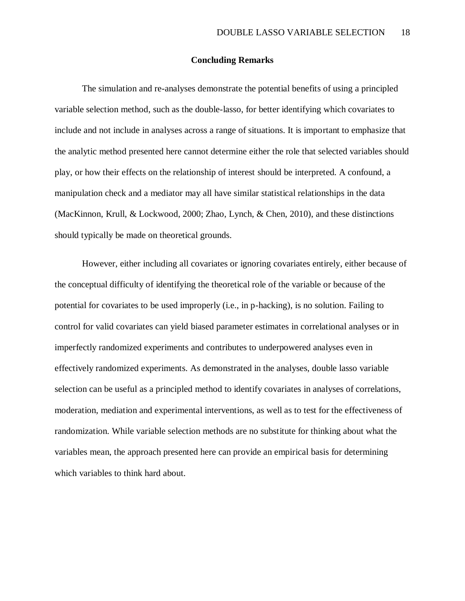### **Concluding Remarks**

The simulation and re-analyses demonstrate the potential benefits of using a principled variable selection method, such as the double-lasso, for better identifying which covariates to include and not include in analyses across a range of situations. It is important to emphasize that the analytic method presented here cannot determine either the role that selected variables should play, or how their effects on the relationship of interest should be interpreted. A confound, a manipulation check and a mediator may all have similar statistical relationships in the data (MacKinnon, Krull, & Lockwood, 2000; Zhao, Lynch, & Chen, 2010), and these distinctions should typically be made on theoretical grounds.

However, either including all covariates or ignoring covariates entirely, either because of the conceptual difficulty of identifying the theoretical role of the variable or because of the potential for covariates to be used improperly (i.e., in p-hacking), is no solution. Failing to control for valid covariates can yield biased parameter estimates in correlational analyses or in imperfectly randomized experiments and contributes to underpowered analyses even in effectively randomized experiments. As demonstrated in the analyses, double lasso variable selection can be useful as a principled method to identify covariates in analyses of correlations, moderation, mediation and experimental interventions, as well as to test for the effectiveness of randomization. While variable selection methods are no substitute for thinking about what the variables mean, the approach presented here can provide an empirical basis for determining which variables to think hard about.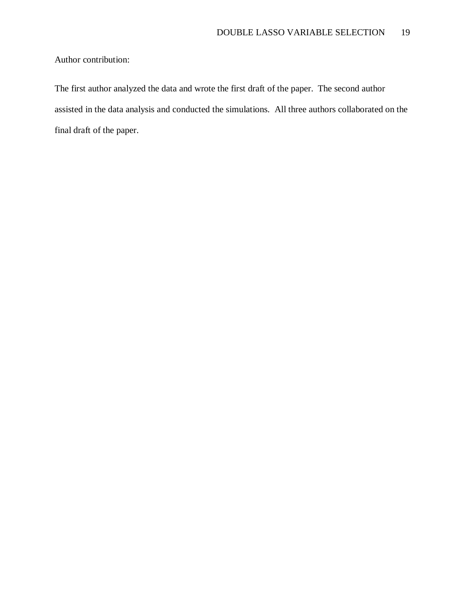Author contribution:

The first author analyzed the data and wrote the first draft of the paper. The second author assisted in the data analysis and conducted the simulations. All three authors collaborated on the final draft of the paper.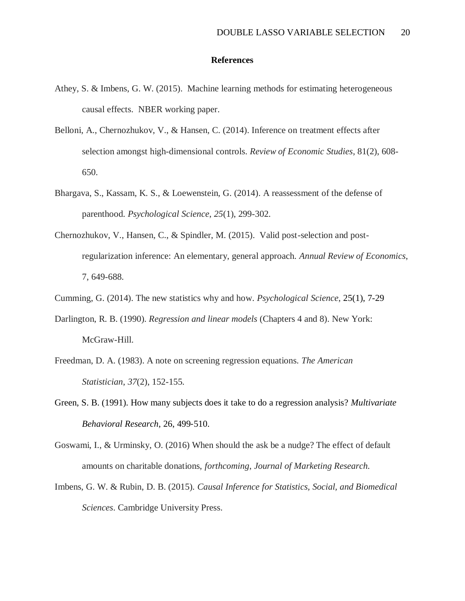### **References**

- Athey, S. & Imbens, G. W. (2015). Machine learning methods for estimating heterogeneous causal effects. NBER working paper.
- Belloni, A., Chernozhukov, V., & Hansen, C. (2014). Inference on treatment effects after selection amongst high-dimensional controls. *Review of Economic Studies*, 81(2), 608- 650.
- Bhargava, S., Kassam, K. S., & Loewenstein, G. (2014). A reassessment of the defense of parenthood. *Psychological Science*, *25*(1), 299-302.
- Chernozhukov, V., Hansen, C., & Spindler, M. (2015). Valid post-selection and postregularization inference: An elementary, general approach. *Annual Review of Economics*, 7, 649-688.
- Cumming, G. (2014). The new statistics why and how. *Psychological Science*, 25(1), 7-29
- Darlington, R. B. (1990). *Regression and linear models* (Chapters 4 and 8). New York: McGraw-Hill.
- Freedman, D. A. (1983). A note on screening regression equations. *The American Statistician*, *37*(2), 152-155.
- Green, S. B. (1991). How many subjects does it take to do a regression analysis? *Multivariate Behavioral Research*, 26, 499‐510.
- Goswami, I., & Urminsky, O. (2016) When should the ask be a nudge? The effect of default amounts on charitable donations, *forthcoming*, *Journal of Marketing Research.*
- Imbens, G. W. & Rubin, D. B. (2015). *Causal Inference for Statistics, Social, and Biomedical Sciences*. Cambridge University Press.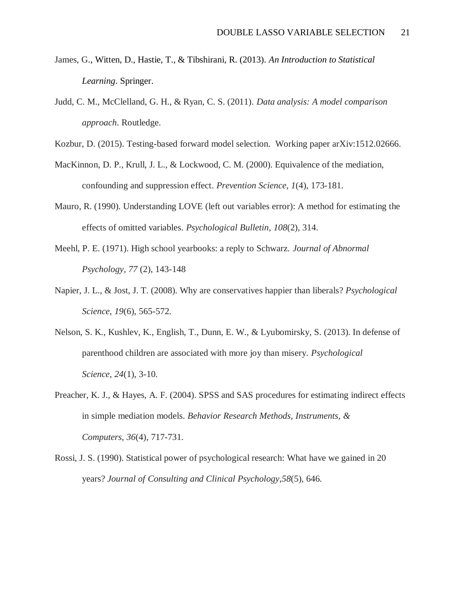- James, G., Witten, D., Hastie, T., & Tibshirani, R. (2013). *An Introduction to Statistical Learning*. Springer.
- Judd, C. M., McClelland, G. H., & Ryan, C. S. (2011). *Data analysis: A model comparison approach*. Routledge.

Kozbur, D. (2015). Testing-based forward model selection. Working paper arXiv:1512.02666.

- MacKinnon, D. P., Krull, J. L., & Lockwood, C. M. (2000). Equivalence of the mediation, confounding and suppression effect. *Prevention Science*, *1*(4), 173-181.
- Mauro, R. (1990). Understanding LOVE (left out variables error): A method for estimating the effects of omitted variables. *Psychological Bulletin*, *108*(2), 314.
- Meehl, P. E. (1971). High school yearbooks: a reply to Schwarz. *Journal of Abnormal Psychology, 77* (2), 143-148
- Napier, J. L., & Jost, J. T. (2008). Why are conservatives happier than liberals? *Psychological Science*, *19*(6), 565-572.
- Nelson, S. K., Kushlev, K., English, T., Dunn, E. W., & Lyubomirsky, S. (2013). In defense of parenthood children are associated with more joy than misery. *Psychological Science*, *24*(1), 3-10.
- Preacher, K. J., & Hayes, A. F. (2004). SPSS and SAS procedures for estimating indirect effects in simple mediation models. *Behavior Research Methods, Instruments, & Computers*, *36*(4), 717-731.
- Rossi, J. S. (1990). Statistical power of psychological research: What have we gained in 20 years? *Journal of Consulting and Clinical Psychology*,*58*(5), 646.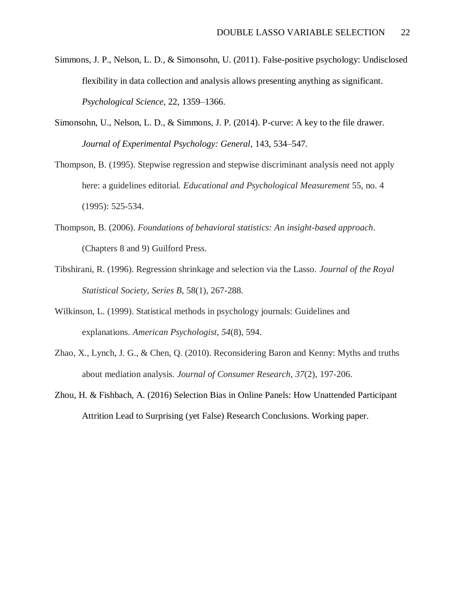- Simmons, J. P., Nelson, L. D., & Simonsohn, U. (2011). False-positive psychology: Undisclosed flexibility in data collection and analysis allows presenting anything as significant. *Psychological Science*, 22, 1359–1366.
- Simonsohn, U., Nelson, L. D., & Simmons, J. P. (2014). P-curve: A key to the file drawer. *Journal of Experimental Psychology: General*, 143, 534–547.
- Thompson, B. (1995). Stepwise regression and stepwise discriminant analysis need not apply here: a guidelines editorial. *Educational and Psychological Measurement* 55, no. 4 (1995): 525-534.
- Thompson, B. (2006). *Foundations of behavioral statistics: An insight-based approach*. (Chapters 8 and 9) Guilford Press.
- Tibshirani, R. (1996). Regression shrinkage and selection via the Lasso. *Journal of the Royal Statistical Society, Series B,* 58(1), 267-288.
- Wilkinson, L. (1999). Statistical methods in psychology journals: Guidelines and explanations. *American Psychologist*, *54*(8), 594.
- Zhao, X., Lynch, J. G., & Chen, Q. (2010). Reconsidering Baron and Kenny: Myths and truths about mediation analysis. *Journal of Consumer Research*, *37*(2), 197-206.
- Zhou, H. & Fishbach, A. (2016) Selection Bias in Online Panels: How Unattended Participant Attrition Lead to Surprising (yet False) Research Conclusions. Working paper.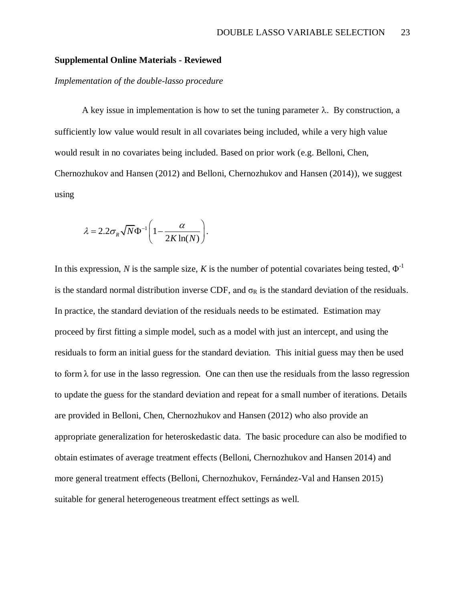### **Supplemental Online Materials - Reviewed**

### *Implementation of the double-lasso procedure*

A key issue in implementation is how to set the tuning parameter  $\lambda$ . By construction, a sufficiently low value would result in all covariates being included, while a very high value would result in no covariates being included. Based on prior work (e.g. Belloni, Chen, Chernozhukov and Hansen (2012) and Belloni, Chernozhukov and Hansen (2014)), we suggest using

$$
\lambda = 2.2 \sigma_R \sqrt{N} \Phi^{-1} \left( 1 - \frac{\alpha}{2K \ln(N)} \right).
$$

In this expression, *N* is the sample size, *K* is the number of potential covariates being tested,  $\Phi^{-1}$ is the standard normal distribution inverse CDF, and  $\sigma_R$  is the standard deviation of the residuals. In practice, the standard deviation of the residuals needs to be estimated. Estimation may proceed by first fitting a simple model, such as a model with just an intercept, and using the residuals to form an initial guess for the standard deviation. This initial guess may then be used to form  $\lambda$  for use in the lasso regression. One can then use the residuals from the lasso regression to update the guess for the standard deviation and repeat for a small number of iterations. Details are provided in Belloni, Chen, Chernozhukov and Hansen (2012) who also provide an appropriate generalization for heteroskedastic data. The basic procedure can also be modified to obtain estimates of average treatment effects (Belloni, Chernozhukov and Hansen 2014) and more general treatment effects (Belloni, Chernozhukov, Fernández-Val and Hansen 2015) suitable for general heterogeneous treatment effect settings as well.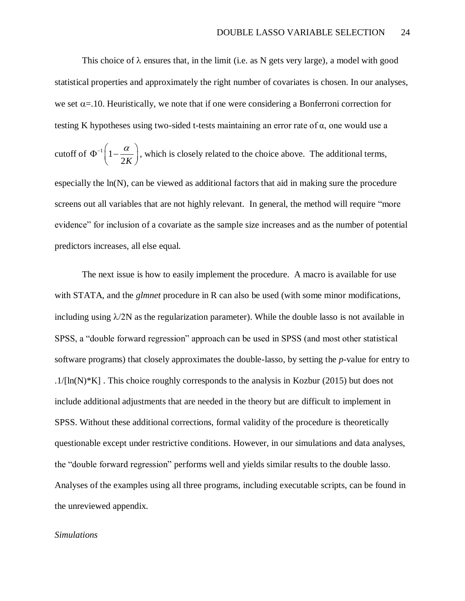This choice of  $\lambda$  ensures that, in the limit (i.e. as N gets very large), a model with good statistical properties and approximately the right number of covariates is chosen. In our analyses, we set  $\alpha$ =.10. Heuristically, we note that if one were considering a Bonferroni correction for testing K hypotheses using two-sided t-tests maintaining an error rate of α, one would use a

cutoff of  $\Phi^{-1}$  1 2*K*  $\Phi^{-1}\left(1-\frac{\alpha}{2K}\right)$ , which is closely related to the choice above. The additional terms,

especially the ln(N), can be viewed as additional factors that aid in making sure the procedure screens out all variables that are not highly relevant. In general, the method will require "more evidence" for inclusion of a covariate as the sample size increases and as the number of potential predictors increases, all else equal.

The next issue is how to easily implement the procedure. A macro is available for use with STATA, and the *glmnet* procedure in R can also be used (with some minor modifications, including using  $\lambda$ /2N as the regularization parameter). While the double lasso is not available in SPSS, a "double forward regression" approach can be used in SPSS (and most other statistical software programs) that closely approximates the double-lasso, by setting the *p*-value for entry to  $.1/[\ln(N)*K]$ . This choice roughly corresponds to the analysis in Kozbur (2015) but does not include additional adjustments that are needed in the theory but are difficult to implement in SPSS. Without these additional corrections, formal validity of the procedure is theoretically questionable except under restrictive conditions. However, in our simulations and data analyses, the "double forward regression" performs well and yields similar results to the double lasso. Analyses of the examples using all three programs, including executable scripts, can be found in the unreviewed appendix.

#### *Simulations*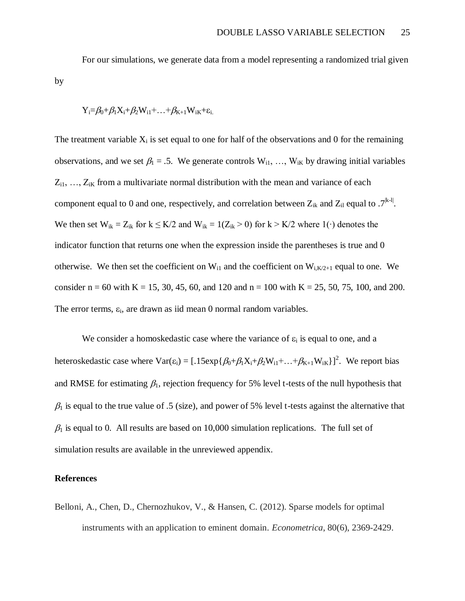For our simulations, we generate data from a model representing a randomized trial given by

$$
Y_i\!\!=\!\!\beta_0\!\!+\!\beta_1X_i\!\!+\!\beta_2W_{i1}\!\!+\!\ldots\!\!+\!\beta_{K\!+\!1}W_{iK}\!\!+\!\!\epsilon_{i.}
$$

The treatment variable  $X_i$  is set equal to one for half of the observations and 0 for the remaining observations, and we set  $\beta_1 = .5$ . We generate controls  $W_{i1}, ..., W_{iK}$  by drawing initial variables  $Z_{i1}, \ldots, Z_{iK}$  from a multivariate normal distribution with the mean and variance of each component equal to 0 and one, respectively, and correlation between  $Z_{ik}$  and  $Z_{il}$  equal to  $.7^{[k-l]}$ . We then set  $W_{ik} = Z_{ik}$  for  $k \leq K/2$  and  $W_{ik} = 1(Z_{ik} > 0)$  for  $k > K/2$  where 1(⋅) denotes the indicator function that returns one when the expression inside the parentheses is true and 0 otherwise. We then set the coefficient on  $W_{i1}$  and the coefficient on  $W_{i,K/2+1}$  equal to one. We consider  $n = 60$  with  $K = 15, 30, 45, 60,$  and 120 and  $n = 100$  with  $K = 25, 50, 75, 100,$  and 200. The error terms,  $\varepsilon_i$ , are drawn as iid mean 0 normal random variables.

We consider a homoskedastic case where the variance of  $\varepsilon_i$  is equal to one, and a heteroskedastic case where  $Var(\epsilon_i) = [0.15exp{\{\beta_0 + \beta_1 X_i + \beta_2 W_{i1} + \dots + \beta_{K+1} W_{iK}\}}]^2$ . We report bias and RMSE for estimating  $\beta_1$ , rejection frequency for 5% level t-tests of the null hypothesis that  $\beta_1$  is equal to the true value of .5 (size), and power of 5% level t-tests against the alternative that  $\beta_1$  is equal to 0. All results are based on 10,000 simulation replications. The full set of simulation results are available in the unreviewed appendix.

#### **References**

Belloni, A., Chen, D., Chernozhukov, V., & Hansen, C. (2012). Sparse models for optimal instruments with an application to eminent domain. *Econometrica*, 80(6), 2369-2429.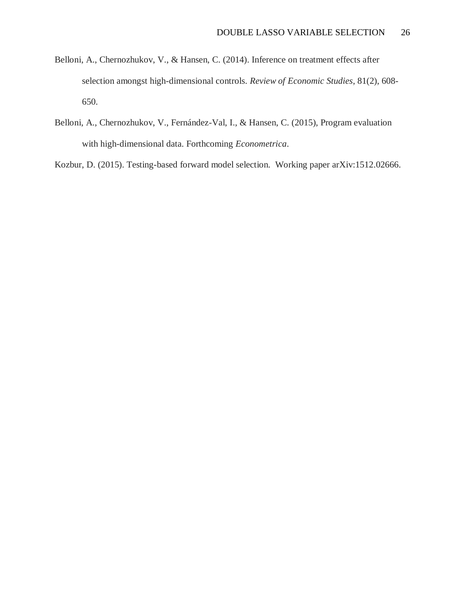- Belloni, A., Chernozhukov, V., & Hansen, C. (2014). Inference on treatment effects after selection amongst high-dimensional controls. *Review of Economic Studies*, 81(2), 608- 650.
- Belloni, A., Chernozhukov, V., Fernández-Val, I., & Hansen, C. (2015), Program evaluation with high-dimensional data. Forthcoming *Econometrica*.

Kozbur, D. (2015). Testing-based forward model selection. Working paper arXiv:1512.02666.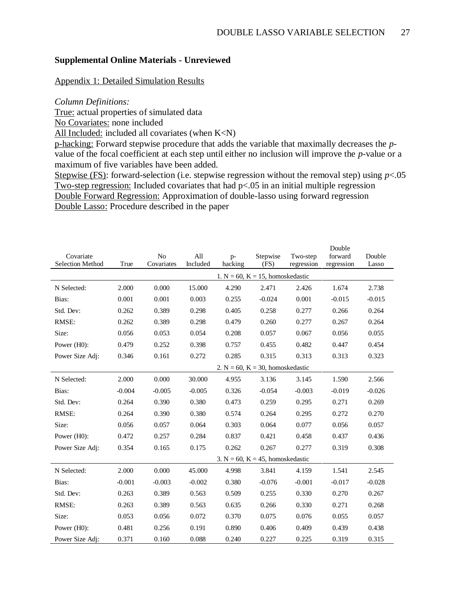# **Supplemental Online Materials - Unreviewed**

### Appendix 1: Detailed Simulation Results

### *Column Definitions:*

True: actual properties of simulated data

No Covariates: none included

All Included: included all covariates (when K<N)

p-hacking: Forward stepwise procedure that adds the variable that maximally decreases the *p*value of the focal coefficient at each step until either no inclusion will improve the *p*-value or a maximum of five variables have been added.

Stepwise (FS): forward-selection (i.e. stepwise regression without the removal step) using  $p<.05$ Two-step regression: Included covariates that had p<.05 in an initial multiple regression Double Forward Regression: Approximation of double-lasso using forward regression Double Lasso: Procedure described in the paper

| Covariate        |          | No         | All      |                 |                                        | Two-step   | Double<br>forward | Double   |
|------------------|----------|------------|----------|-----------------|----------------------------------------|------------|-------------------|----------|
| Selection Method | True     | Covariates | Included | $p-$<br>hacking | Stepwise<br>(FS)                       | regression | regression        | Lasso    |
|                  |          |            |          |                 | 1. $N = 60$ , $K = 15$ , homoskedastic |            |                   |          |
| N Selected:      | 2.000    | 0.000      | 15.000   | 4.290           | 2.471                                  | 2.426      | 1.674             | 2.738    |
| Bias:            | 0.001    | 0.001      | 0.003    | 0.255           | $-0.024$                               | 0.001      | $-0.015$          | $-0.015$ |
| Std. Dev:        | 0.262    | 0.389      | 0.298    | 0.405           | 0.258                                  | 0.277      | 0.266             | 0.264    |
| RMSE:            | 0.262    | 0.389      | 0.298    | 0.479           | 0.260                                  | 0.277      | 0.267             | 0.264    |
| Size:            | 0.056    | 0.053      | 0.054    | 0.208           | 0.057                                  | 0.067      | 0.056             | 0.055    |
| Power (H0):      | 0.479    | 0.252      | 0.398    | 0.757           | 0.455                                  | 0.482      | 0.447             | 0.454    |
| Power Size Adj:  | 0.346    | 0.161      | 0.272    | 0.285           | 0.315                                  | 0.313      | 0.313             | 0.323    |
|                  |          |            |          |                 | 2. $N = 60$ , $K = 30$ , homoskedastic |            |                   |          |
| N Selected:      | 2.000    | 0.000      | 30.000   | 4.955           | 3.136                                  | 3.145      | 1.590             | 2.566    |
| Bias:            | $-0.004$ | $-0.005$   | $-0.005$ | 0.326           | $-0.054$                               | $-0.003$   | $-0.019$          | $-0.026$ |
| Std. Dev:        | 0.264    | 0.390      | 0.380    | 0.473           | 0.259                                  | 0.295      | 0.271             | 0.269    |
| RMSE:            | 0.264    | 0.390      | 0.380    | 0.574           | 0.264                                  | 0.295      | 0.272             | 0.270    |
| Size:            | 0.056    | 0.057      | 0.064    | 0.303           | 0.064                                  | 0.077      | 0.056             | 0.057    |
| Power (H0):      | 0.472    | 0.257      | 0.284    | 0.837           | 0.421                                  | 0.458      | 0.437             | 0.436    |
| Power Size Adj:  | 0.354    | 0.165      | 0.175    | 0.262           | 0.267                                  | 0.277      | 0.319             | 0.308    |
|                  |          |            |          |                 | 3. $N = 60$ , $K = 45$ , homoskedastic |            |                   |          |
| N Selected:      | 2.000    | 0.000      | 45.000   | 4.998           | 3.841                                  | 4.159      | 1.541             | 2.545    |
| Bias:            | $-0.001$ | $-0.003$   | $-0.002$ | 0.380           | $-0.076$                               | $-0.001$   | $-0.017$          | $-0.028$ |
| Std. Dev:        | 0.263    | 0.389      | 0.563    | 0.509           | 0.255                                  | 0.330      | 0.270             | 0.267    |
| RMSE:            | 0.263    | 0.389      | 0.563    | 0.635           | 0.266                                  | 0.330      | 0.271             | 0.268    |
| Size:            | 0.053    | 0.056      | 0.072    | 0.370           | 0.075                                  | 0.076      | 0.055             | 0.057    |
| Power (H0):      | 0.481    | 0.256      | 0.191    | 0.890           | 0.406                                  | 0.409      | 0.439             | 0.438    |
| Power Size Adi:  | 0.371    | 0.160      | 0.088    | 0.240           | 0.227                                  | 0.225      | 0.319             | 0.315    |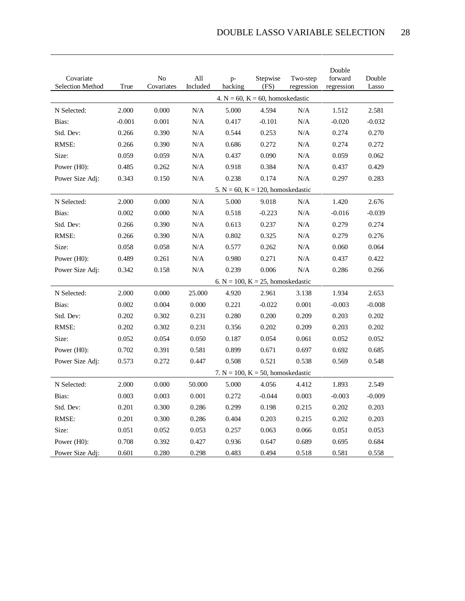| Covariate<br>Selection Method | True     | No<br>Covariates | All<br>Included | $p-$<br>hacking | Stepwise<br>(FS)                        | Two-step<br>regression | Double<br>forward<br>regression | Double<br>Lasso |
|-------------------------------|----------|------------------|-----------------|-----------------|-----------------------------------------|------------------------|---------------------------------|-----------------|
|                               |          |                  |                 |                 | 4. $N = 60$ , $K = 60$ , homoskedastic  |                        |                                 |                 |
| N Selected:                   | 2.000    | 0.000            | N/A             | 5.000           | 4.594                                   | N/A                    | 1.512                           | 2.581           |
| Bias:                         | $-0.001$ | 0.001            | N/A             | 0.417           | $-0.101$                                | N/A                    | $-0.020$                        | $-0.032$        |
| Std. Dev:                     | 0.266    | 0.390            | N/A             | 0.544           | 0.253                                   | N/A                    | 0.274                           | 0.270           |
| RMSE:                         | 0.266    | 0.390            | N/A             | 0.686           | 0.272                                   | N/A                    | 0.274                           | 0.272           |
| Size:                         | 0.059    | 0.059            | N/A             | 0.437           | 0.090                                   | N/A                    | 0.059                           | 0.062           |
| Power (H0):                   | 0.485    | 0.262            | N/A             | 0.918           | 0.384                                   | N/A                    | 0.437                           | 0.429           |
| Power Size Adj:               | 0.343    | 0.150            | $\rm N/A$       | 0.238           | 0.174                                   | N/A                    | 0.297                           | 0.283           |
|                               |          |                  |                 |                 | 5. $N = 60$ , $K = 120$ , homoskedastic |                        |                                 |                 |
| N Selected:                   | 2.000    | 0.000            | N/A             | 5.000           | 9.018                                   | N/A                    | 1.420                           | 2.676           |
| Bias:                         | 0.002    | 0.000            | N/A             | 0.518           | $-0.223$                                | N/A                    | $-0.016$                        | $-0.039$        |
| Std. Dev:                     | 0.266    | 0.390            | N/A             | 0.613           | 0.237                                   | N/A                    | 0.279                           | 0.274           |
| RMSE:                         | 0.266    | 0.390            | N/A             | 0.802           | 0.325                                   | N/A                    | 0.279                           | 0.276           |
| Size:                         | 0.058    | 0.058            | N/A             | 0.577           | 0.262                                   | N/A                    | 0.060                           | 0.064           |
| Power (H0):                   | 0.489    | 0.261            | N/A             | 0.980           | 0.271                                   | N/A                    | 0.437                           | 0.422           |
| Power Size Adj:               | 0.342    | 0.158            | $\rm N/A$       | 0.239           | 0.006                                   | N/A                    | 0.286                           | 0.266           |
|                               |          |                  |                 |                 | 6. $N = 100$ , $K = 25$ , homoskedastic |                        |                                 |                 |
| N Selected:                   | 2.000    | 0.000            | 25.000          | 4.920           | 2.961                                   | 3.138                  | 1.934                           | 2.653           |
| Bias:                         | 0.002    | 0.004            | 0.000           | 0.221           | $-0.022$                                | 0.001                  | $-0.003$                        | $-0.008$        |
| Std. Dev:                     | 0.202    | 0.302            | 0.231           | 0.280           | 0.200                                   | 0.209                  | 0.203                           | 0.202           |
| RMSE:                         | 0.202    | 0.302            | 0.231           | 0.356           | 0.202                                   | 0.209                  | 0.203                           | 0.202           |
| Size:                         | 0.052    | 0.054            | 0.050           | 0.187           | 0.054                                   | 0.061                  | 0.052                           | 0.052           |
| Power (H0):                   | 0.702    | 0.391            | 0.581           | 0.899           | 0.671                                   | 0.697                  | 0.692                           | 0.685           |
| Power Size Adj:               | 0.573    | 0.272            | 0.447           | 0.508           | 0.521                                   | 0.538                  | 0.569                           | 0.548           |
|                               |          |                  |                 |                 | 7. $N = 100$ , $K = 50$ , homoskedastic |                        |                                 |                 |
| N Selected:                   | 2.000    | 0.000            | 50.000          | 5.000           | 4.056                                   | 4.412                  | 1.893                           | 2.549           |
| Bias:                         | 0.003    | 0.003            | 0.001           | 0.272           | $-0.044$                                | 0.003                  | $-0.003$                        | $-0.009$        |
| Std. Dev:                     | 0.201    | 0.300            | 0.286           | 0.299           | 0.198                                   | 0.215                  | 0.202                           | 0.203           |
| RMSE:                         | 0.201    | 0.300            | 0.286           | 0.404           | 0.203                                   | 0.215                  | 0.202                           | 0.203           |
| Size:                         | 0.051    | 0.052            | 0.053           | 0.257           | 0.063                                   | 0.066                  | 0.051                           | 0.053           |
| Power (H0):                   | 0.708    | 0.392            | 0.427           | 0.936           | 0.647                                   | 0.689                  | 0.695                           | 0.684           |
| Power Size Adj:               | 0.601    | 0.280            | 0.298           | 0.483           | 0.494                                   | 0.518                  | 0.581                           | 0.558           |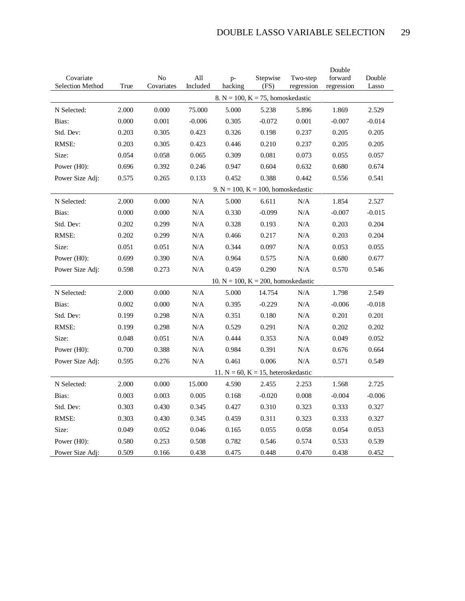| Covariate        |       | N <sub>o</sub> | All       | $p-$                                      | Stepwise | Two-step   | Double<br>forward | Double   |
|------------------|-------|----------------|-----------|-------------------------------------------|----------|------------|-------------------|----------|
| Selection Method | True  | Covariates     | Included  | hacking                                   | (FS)     | regression | regression        | Lasso    |
|                  |       |                |           | 8. N = 100, K = 75, homoskedastic         |          |            |                   |          |
| N Selected:      | 2.000 | 0.000          | 75.000    | 5.000                                     | 5.238    | 5.896      | 1.869             | 2.529    |
| Bias:            | 0.000 | 0.001          | $-0.006$  | 0.305                                     | $-0.072$ | 0.001      | $-0.007$          | $-0.014$ |
| Std. Dev:        | 0.203 | 0.305          | 0.423     | 0.326                                     | 0.198    | 0.237      | 0.205             | 0.205    |
| RMSE:            | 0.203 | 0.305          | 0.423     | 0.446                                     | 0.210    | 0.237      | 0.205             | 0.205    |
| Size:            | 0.054 | 0.058          | 0.065     | 0.309                                     | 0.081    | 0.073      | 0.055             | 0.057    |
| Power (H0):      | 0.696 | 0.392          | 0.246     | 0.947                                     | 0.604    | 0.632      | 0.680             | 0.674    |
| Power Size Adj:  | 0.575 | 0.265          | 0.133     | 0.452                                     | 0.388    | 0.442      | 0.556             | 0.541    |
|                  |       |                |           | 9. N = 100, K = 100, homoskedastic        |          |            |                   |          |
| N Selected:      | 2.000 | 0.000          | N/A       | 5.000                                     | 6.611    | N/A        | 1.854             | 2.527    |
| Bias:            | 0.000 | 0.000          | N/A       | 0.330                                     | $-0.099$ | N/A        | $-0.007$          | $-0.015$ |
| Std. Dev:        | 0.202 | 0.299          | N/A       | 0.328                                     | 0.193    | N/A        | 0.203             | 0.204    |
| RMSE:            | 0.202 | 0.299          | N/A       | 0.466                                     | 0.217    | N/A        | 0.203             | 0.204    |
| Size:            | 0.051 | 0.051          | $\rm N/A$ | 0.344                                     | 0.097    | N/A        | 0.053             | 0.055    |
| Power (H0):      | 0.699 | 0.390          | N/A       | 0.964                                     | 0.575    | N/A        | 0.680             | 0.677    |
| Power Size Adj:  | 0.598 | 0.273          | N/A       | 0.459                                     | 0.290    | N/A        | 0.570             | 0.546    |
|                  |       |                |           | 10. $N = 100$ , $K = 200$ , homoskedastic |          |            |                   |          |
| N Selected:      | 2.000 | 0.000          | N/A       | 5.000                                     | 14.754   | N/A        | 1.798             | 2.549    |
| Bias:            | 0.002 | 0.000          | $\rm N/A$ | 0.395                                     | $-0.229$ | N/A        | $-0.006$          | $-0.018$ |
| Std. Dev:        | 0.199 | 0.298          | N/A       | 0.351                                     | 0.180    | N/A        | 0.201             | 0.201    |
| RMSE:            | 0.199 | 0.298          | N/A       | 0.529                                     | 0.291    | N/A        | 0.202             | 0.202    |
| Size:            | 0.048 | 0.051          | N/A       | 0.444                                     | 0.353    | N/A        | 0.049             | 0.052    |
| Power (H0):      | 0.700 | 0.388          | N/A       | 0.984                                     | 0.391    | N/A        | 0.676             | 0.664    |
| Power Size Adj:  | 0.595 | 0.276          | N/A       | 0.461                                     | 0.006    | N/A        | 0.571             | 0.549    |
|                  |       |                |           | 11. $N = 60$ , $K = 15$ , heteroskedastic |          |            |                   |          |
| N Selected:      | 2.000 | 0.000          | 15.000    | 4.590                                     | 2.455    | 2.253      | 1.568             | 2.725    |
| Bias:            | 0.003 | 0.003          | 0.005     | 0.168                                     | $-0.020$ | 0.008      | $-0.004$          | $-0.006$ |
| Std. Dev:        | 0.303 | 0.430          | 0.345     | 0.427                                     | 0.310    | 0.323      | 0.333             | 0.327    |
| RMSE:            | 0.303 | 0.430          | 0.345     | 0.459                                     | 0.311    | 0.323      | 0.333             | 0.327    |
| Size:            | 0.049 | 0.052          | 0.046     | 0.165                                     | 0.055    | 0.058      | 0.054             | 0.053    |
| Power (H0):      | 0.580 | 0.253          | 0.508     | 0.782                                     | 0.546    | 0.574      | 0.533             | 0.539    |
| Power Size Adj:  | 0.509 | 0.166          | 0.438     | 0.475                                     | 0.448    | 0.470      | 0.438             | 0.452    |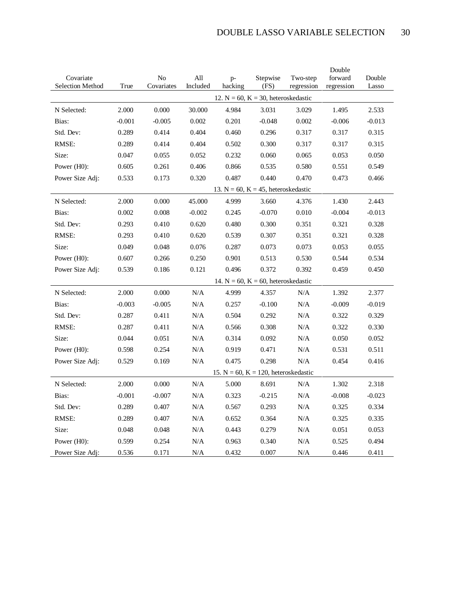|                                      |          |                  |                 |                 |                                            |                        | Double                |                 |
|--------------------------------------|----------|------------------|-----------------|-----------------|--------------------------------------------|------------------------|-----------------------|-----------------|
| Covariate<br><b>Selection Method</b> | True     | No<br>Covariates | All<br>Included | $p-$<br>hacking | Stepwise<br>(FS)                           | Two-step<br>regression | forward<br>regression | Double<br>Lasso |
|                                      |          |                  |                 |                 | 12. $N = 60$ , $K = 30$ , heteroskedastic  |                        |                       |                 |
| N Selected:                          | 2.000    | 0.000            | 30.000          | 4.984           | 3.031                                      | 3.029                  | 1.495                 | 2.533           |
| Bias:                                | $-0.001$ | $-0.005$         | 0.002           | 0.201           | $-0.048$                                   | 0.002                  | $-0.006$              | $-0.013$        |
| Std. Dev:                            | 0.289    | 0.414            | 0.404           | 0.460           | 0.296                                      | 0.317                  | 0.317                 | 0.315           |
| RMSE:                                | 0.289    | 0.414            | 0.404           | 0.502           | 0.300                                      | 0.317                  | 0.317                 | 0.315           |
| Size:                                | 0.047    | 0.055            | 0.052           | 0.232           | 0.060                                      | 0.065                  | 0.053                 | 0.050           |
| Power (H0):                          | 0.605    | 0.261            | 0.406           | 0.866           | 0.535                                      | 0.580                  | 0.551                 | 0.549           |
| Power Size Adj:                      | 0.533    | 0.173            | 0.320           | 0.487           | 0.440                                      | 0.470                  | 0.473                 | 0.466           |
|                                      |          |                  |                 |                 | 13. $N = 60$ , $K = 45$ , heteroskedastic  |                        |                       |                 |
| N Selected:                          | 2.000    | 0.000            | 45.000          | 4.999           | 3.660                                      | 4.376                  | 1.430                 | 2.443           |
| Bias:                                | 0.002    | 0.008            | $-0.002$        | 0.245           | $-0.070$                                   | 0.010                  | $-0.004$              | $-0.013$        |
| Std. Dev:                            | 0.293    | 0.410            | 0.620           | 0.480           | 0.300                                      | 0.351                  | 0.321                 | 0.328           |
| RMSE:                                | 0.293    | 0.410            | 0.620           | 0.539           | 0.307                                      | 0.351                  | 0.321                 | 0.328           |
| Size:                                | 0.049    | 0.048            | 0.076           | 0.287           | 0.073                                      | 0.073                  | 0.053                 | 0.055           |
| Power (H0):                          | 0.607    | 0.266            | 0.250           | 0.901           | 0.513                                      | 0.530                  | 0.544                 | 0.534           |
| Power Size Adj:                      | 0.539    | 0.186            | 0.121           | 0.496           | 0.372                                      | 0.392                  | 0.459                 | 0.450           |
|                                      |          |                  |                 |                 | 14. $N = 60$ , $K = 60$ , heteroskedastic  |                        |                       |                 |
| N Selected:                          | 2.000    | 0.000            | $\rm N/A$       | 4.999           | 4.357                                      | N/A                    | 1.392                 | 2.377           |
| Bias:                                | $-0.003$ | $-0.005$         | $\rm N/A$       | 0.257           | $-0.100$                                   | N/A                    | $-0.009$              | $-0.019$        |
| Std. Dev:                            | 0.287    | 0.411            | N/A             | 0.504           | 0.292                                      | N/A                    | 0.322                 | 0.329           |
| RMSE:                                | 0.287    | 0.411            | N/A             | 0.566           | 0.308                                      | N/A                    | 0.322                 | 0.330           |
| Size:                                | 0.044    | 0.051            | N/A             | 0.314           | 0.092                                      | N/A                    | 0.050                 | 0.052           |
| Power $(H0)$ :                       | 0.598    | 0.254            | N/A             | 0.919           | 0.471                                      | N/A                    | 0.531                 | 0.511           |
| Power Size Adj:                      | 0.529    | 0.169            | N/A             | 0.475           | 0.298                                      | N/A                    | 0.454                 | 0.416           |
|                                      |          |                  |                 |                 | 15. $N = 60$ , $K = 120$ , heteroskedastic |                        |                       |                 |
| N Selected:                          | 2.000    | 0.000            | N/A             | 5.000           | 8.691                                      | N/A                    | 1.302                 | 2.318           |
| Bias:                                | $-0.001$ | $-0.007$         | N/A             | 0.323           | $-0.215$                                   | N/A                    | $-0.008$              | $-0.023$        |
| Std. Dev:                            | 0.289    | 0.407            | N/A             | 0.567           | 0.293                                      | N/A                    | 0.325                 | 0.334           |
| RMSE:                                | 0.289    | 0.407            | N/A             | 0.652           | 0.364                                      | N/A                    | 0.325                 | 0.335           |
| Size:                                | 0.048    | 0.048            | N/A             | 0.443           | 0.279                                      | N/A                    | 0.051                 | 0.053           |
| Power (H0):                          | 0.599    | 0.254            | N/A             | 0.963           | 0.340                                      | N/A                    | 0.525                 | 0.494           |
| Power Size Adj:                      | 0.536    | 0.171            | N/A             | 0.432           | 0.007                                      | N/A                    | 0.446                 | 0.411           |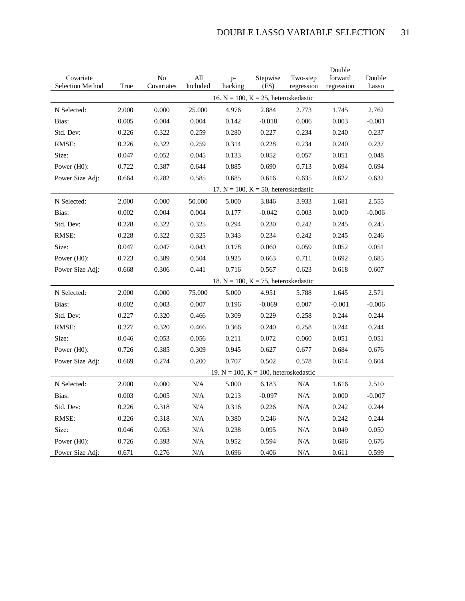| Covariate        |       | N <sub>0</sub> | All      | $p-$    | Stepwise                                    | Two-step   | Double<br>forward | Double   |
|------------------|-------|----------------|----------|---------|---------------------------------------------|------------|-------------------|----------|
| Selection Method | True  | Covariates     | Included | hacking | (FS)                                        | regression | regression        | Lasso    |
|                  |       |                |          |         | 16. $N = 100$ , $K = 25$ , heteroskedastic  |            |                   |          |
| N Selected:      | 2.000 | 0.000          | 25.000   | 4.976   | 2.884                                       | 2.773      | 1.745             | 2.762    |
| Bias:            | 0.005 | 0.004          | 0.004    | 0.142   | $-0.018$                                    | 0.006      | 0.003             | $-0.001$ |
| Std. Dev:        | 0.226 | 0.322          | 0.259    | 0.280   | 0.227                                       | 0.234      | 0.240             | 0.237    |
| RMSE:            | 0.226 | 0.322          | 0.259    | 0.314   | 0.228                                       | 0.234      | 0.240             | 0.237    |
| Size:            | 0.047 | 0.052          | 0.045    | 0.133   | 0.052                                       | 0.057      | 0.051             | 0.048    |
| Power (H0):      | 0.722 | 0.387          | 0.644    | 0.885   | 0.690                                       | 0.713      | 0.694             | 0.694    |
| Power Size Adj:  | 0.664 | 0.282          | 0.585    | 0.685   | 0.616                                       | 0.635      | 0.622             | 0.632    |
|                  |       |                |          |         | 17. $N = 100$ , $K = 50$ , heteroskedastic  |            |                   |          |
| N Selected:      | 2.000 | 0.000          | 50.000   | 5.000   | 3.846                                       | 3.933      | 1.681             | 2.555    |
| Bias:            | 0.002 | 0.004          | 0.004    | 0.177   | $-0.042$                                    | 0.003      | 0.000             | $-0.006$ |
| Std. Dev:        | 0.228 | 0.322          | 0.325    | 0.294   | 0.230                                       | 0.242      | 0.245             | 0.245    |
| RMSE:            | 0.228 | 0.322          | 0.325    | 0.343   | 0.234                                       | 0.242      | 0.245             | 0.246    |
| Size:            | 0.047 | 0.047          | 0.043    | 0.178   | 0.060                                       | 0.059      | 0.052             | 0.051    |
| Power (H0):      | 0.723 | 0.389          | 0.504    | 0.925   | 0.663                                       | 0.711      | 0.692             | 0.685    |
| Power Size Adj:  | 0.668 | 0.306          | 0.441    | 0.716   | 0.567                                       | 0.623      | 0.618             | 0.607    |
|                  |       |                |          |         | 18. $N = 100$ , $K = 75$ , heteroskedastic  |            |                   |          |
| N Selected:      | 2.000 | 0.000          | 75.000   | 5.000   | 4.951                                       | 5.788      | 1.645             | 2.571    |
| Bias:            | 0.002 | 0.003          | 0.007    | 0.196   | $-0.069$                                    | 0.007      | $-0.001$          | $-0.006$ |
| Std. Dev:        | 0.227 | 0.320          | 0.466    | 0.309   | 0.229                                       | 0.258      | 0.244             | 0.244    |
| RMSE:            | 0.227 | 0.320          | 0.466    | 0.366   | 0.240                                       | 0.258      | 0.244             | 0.244    |
| Size:            | 0.046 | 0.053          | 0.056    | 0.211   | 0.072                                       | 0.060      | 0.051             | 0.051    |
| Power $(H0)$ :   | 0.726 | 0.385          | 0.309    | 0.945   | 0.627                                       | 0.677      | 0.684             | 0.676    |
| Power Size Adj:  | 0.669 | 0.274          | 0.200    | 0.707   | 0.502                                       | 0.578      | 0.614             | 0.604    |
|                  |       |                |          |         | 19. $N = 100$ , $K = 100$ , heteroskedastic |            |                   |          |
| N Selected:      | 2.000 | 0.000          | N/A      | 5.000   | 6.183                                       | N/A        | 1.616             | 2.510    |
| Bias:            | 0.003 | 0.005          | N/A      | 0.213   | $-0.097$                                    | N/A        | 0.000             | $-0.007$ |
| Std. Dev:        | 0.226 | 0.318          | N/A      | 0.316   | 0.226                                       | N/A        | 0.242             | 0.244    |
| RMSE:            | 0.226 | 0.318          | N/A      | 0.380   | 0.246                                       | N/A        | 0.242             | 0.244    |
| Size:            | 0.046 | 0.053          | N/A      | 0.238   | 0.095                                       | N/A        | 0.049             | 0.050    |
| Power (H0):      | 0.726 | 0.393          | N/A      | 0.952   | 0.594                                       | N/A        | 0.686             | 0.676    |
| Power Size Adj:  | 0.671 | 0.276          | N/A      | 0.696   | 0.406                                       | N/A        | 0.611             | 0.599    |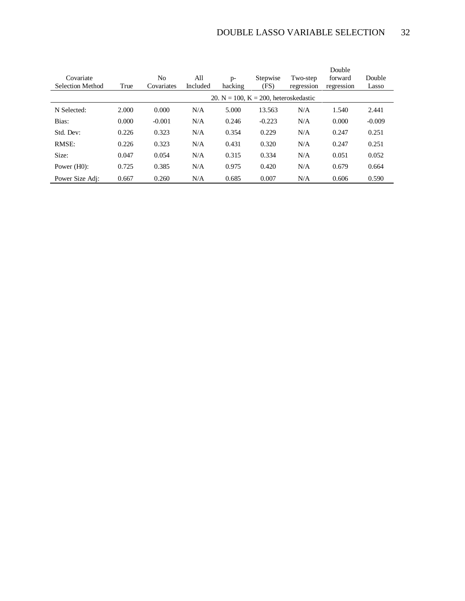| Covariate<br><b>Selection Method</b> | True  | No<br>Covariates | All<br>Included | $p-$<br>hacking | Stepwise<br>(FS)                            | Two-step<br>regression | Double<br>forward<br>regression | Double<br>Lasso |
|--------------------------------------|-------|------------------|-----------------|-----------------|---------------------------------------------|------------------------|---------------------------------|-----------------|
|                                      |       |                  |                 |                 | 20. $N = 100$ , $K = 200$ , heteroskedastic |                        |                                 |                 |
| N Selected:                          | 2.000 | 0.000            | N/A             | 5.000           | 13.563                                      | N/A                    | 1.540                           | 2.441           |
| Bias:                                | 0.000 | $-0.001$         | N/A             | 0.246           | $-0.223$                                    | N/A                    | 0.000                           | $-0.009$        |
| Std. Dev:                            | 0.226 | 0.323            | N/A             | 0.354           | 0.229                                       | N/A                    | 0.247                           | 0.251           |
| RMSE:                                | 0.226 | 0.323            | N/A             | 0.431           | 0.320                                       | N/A                    | 0.247                           | 0.251           |
| Size:                                | 0.047 | 0.054            | N/A             | 0.315           | 0.334                                       | N/A                    | 0.051                           | 0.052           |
| Power $(H0)$ :                       | 0.725 | 0.385            | N/A             | 0.975           | 0.420                                       | N/A                    | 0.679                           | 0.664           |
| Power Size Adj:                      | 0.667 | 0.260            | N/A             | 0.685           | 0.007                                       | N/A                    | 0.606                           | 0.590           |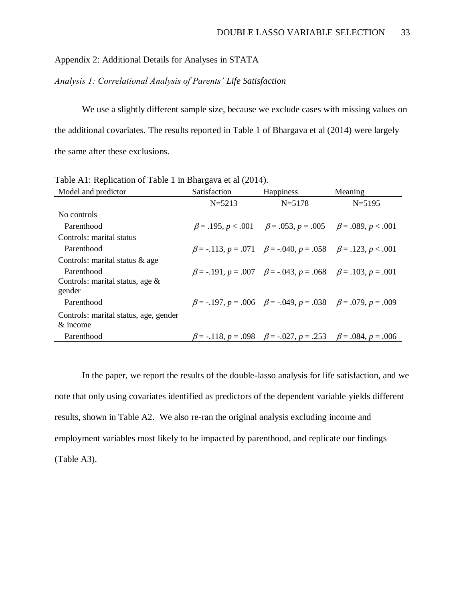# Appendix 2: Additional Details for Analyses in STATA

*Analysis 1: Correlational Analysis of Parents' Life Satisfaction*

We use a slightly different sample size, because we exclude cases with missing values on the additional covariates. The results reported in Table 1 of Bhargava et al (2014) were largely the same after these exclusions.

| Model and predictor                   | Satisfaction | Happiness                                                                            | Meaning    |
|---------------------------------------|--------------|--------------------------------------------------------------------------------------|------------|
|                                       | $N = 5213$   | $N = 5178$                                                                           | $N = 5195$ |
| No controls                           |              |                                                                                      |            |
| Parenthood                            |              | $\beta = .195, p < .001$ $\beta = .053, p = .005$ $\beta = .089, p < .001$           |            |
| Controls: marital status              |              |                                                                                      |            |
| Parenthood                            |              | $\beta$ = -.113, p = .071 $\beta$ = -.040, p = .058 $\beta$ = .123, p < .001         |            |
| Controls: marital status & age        |              |                                                                                      |            |
| Parenthood                            |              | $\beta = -191$ , $p = .007$ $\beta = -.043$ , $p = .068$ $\beta = .103$ , $p = .001$ |            |
| Controls: marital status, age $\&$    |              |                                                                                      |            |
| gender                                |              |                                                                                      |            |
| Parenthood                            |              | $\beta$ = -.197, p = .006 $\beta$ = -.049, p = .038 $\beta$ = .079, p = .009         |            |
| Controls: marital status, age, gender |              |                                                                                      |            |
| $\&$ income                           |              |                                                                                      |            |
| Parenthood                            |              | $\beta$ = -.118, p = .098 $\beta$ = -.027, p = .253 $\beta$ = .084, p = .006         |            |

Table A1: Replication of Table 1 in Bhargava et al (2014).

In the paper, we report the results of the double-lasso analysis for life satisfaction, and we note that only using covariates identified as predictors of the dependent variable yields different results, shown in Table A2. We also re-ran the original analysis excluding income and employment variables most likely to be impacted by parenthood, and replicate our findings (Table A3).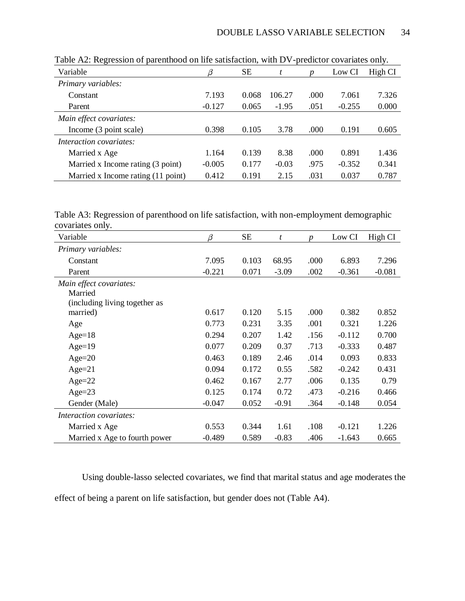| $\sqrt{2}$                         |          |           |         |                  |          |         |
|------------------------------------|----------|-----------|---------|------------------|----------|---------|
| Variable                           | β        | <b>SE</b> | t       | $\boldsymbol{p}$ | Low CI   | High CI |
| Primary variables:                 |          |           |         |                  |          |         |
| Constant                           | 7.193    | 0.068     | 106.27  | .000             | 7.061    | 7.326   |
| Parent                             | $-0.127$ | 0.065     | $-1.95$ | .051             | $-0.255$ | 0.000   |
| Main effect covariates:            |          |           |         |                  |          |         |
| Income (3 point scale)             | 0.398    | 0.105     | 3.78    | .000             | 0.191    | 0.605   |
| <i>Interaction covariates:</i>     |          |           |         |                  |          |         |
| Married x Age                      | 1.164    | 0.139     | 8.38    | .000             | 0.891    | 1.436   |
| Married x Income rating (3 point)  | $-0.005$ | 0.177     | $-0.03$ | .975             | $-0.352$ | 0.341   |
| Married x Income rating (11 point) | 0.412    | 0.191     | 2.15    | .031             | 0.037    | 0.787   |

Table A2: Regression of parenthood on life satisfaction, with DV-predictor covariates only.

Table A3: Regression of parenthood on life satisfaction, with non-employment demographic covariates only.

| Variable                      | $\beta$  | <b>SE</b> | t       | $\boldsymbol{p}$ | Low CI   | High CI  |
|-------------------------------|----------|-----------|---------|------------------|----------|----------|
| Primary variables:            |          |           |         |                  |          |          |
| Constant                      | 7.095    | 0.103     | 68.95   | .000             | 6.893    | 7.296    |
| Parent                        | $-0.221$ | 0.071     | $-3.09$ | .002             | $-0.361$ | $-0.081$ |
| Main effect covariates:       |          |           |         |                  |          |          |
| Married                       |          |           |         |                  |          |          |
| (including living together as |          |           |         |                  |          |          |
| married)                      | 0.617    | 0.120     | 5.15    | .000             | 0.382    | 0.852    |
| Age                           | 0.773    | 0.231     | 3.35    | .001             | 0.321    | 1.226    |
| $Age=18$                      | 0.294    | 0.207     | 1.42    | .156             | $-0.112$ | 0.700    |
| $Age=19$                      | 0.077    | 0.209     | 0.37    | .713             | $-0.333$ | 0.487    |
| Age= $20$                     | 0.463    | 0.189     | 2.46    | .014             | 0.093    | 0.833    |
| $Age=21$                      | 0.094    | 0.172     | 0.55    | .582             | $-0.242$ | 0.431    |
| $Age=22$                      | 0.462    | 0.167     | 2.77    | .006             | 0.135    | 0.79     |
| $Age=23$                      | 0.125    | 0.174     | 0.72    | .473             | $-0.216$ | 0.466    |
| Gender (Male)                 | $-0.047$ | 0.052     | $-0.91$ | .364             | $-0.148$ | 0.054    |
| Interaction covariates:       |          |           |         |                  |          |          |
| Married x Age                 | 0.553    | 0.344     | 1.61    | .108             | $-0.121$ | 1.226    |
| Married x Age to fourth power | $-0.489$ | 0.589     | $-0.83$ | .406             | $-1.643$ | 0.665    |

Using double-lasso selected covariates, we find that marital status and age moderates the effect of being a parent on life satisfaction, but gender does not (Table A4).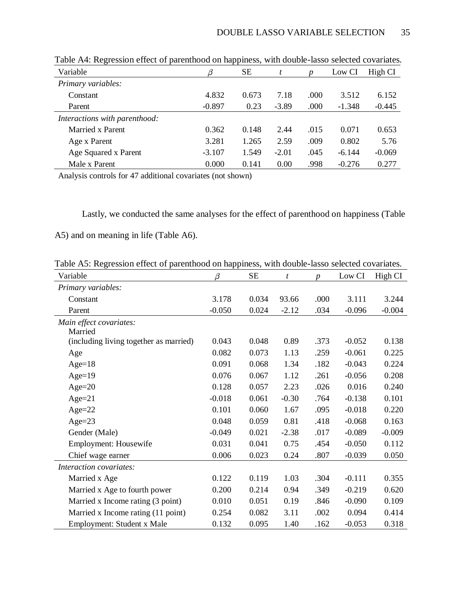| Variable                      | β        | <b>SE</b> |         | $\boldsymbol{D}$ | Low CI   | High CI  |
|-------------------------------|----------|-----------|---------|------------------|----------|----------|
| Primary variables:            |          |           |         |                  |          |          |
| Constant                      | 4.832    | 0.673     | 7.18    | .000             | 3.512    | 6.152    |
| Parent                        | $-0.897$ | 0.23      | $-3.89$ | .000             | $-1.348$ | $-0.445$ |
| Interactions with parenthood: |          |           |         |                  |          |          |
| Married x Parent              | 0.362    | 0.148     | 2.44    | .015             | 0.071    | 0.653    |
| Age x Parent                  | 3.281    | 1.265     | 2.59    | .009             | 0.802    | 5.76     |
| Age Squared x Parent          | $-3.107$ | 1.549     | $-2.01$ | .045             | $-6.144$ | $-0.069$ |
| Male x Parent                 | 0.000    | 0.141     | 0.00    | .998             | $-0.276$ | 0.277    |

Table A4: Regression effect of parenthood on happiness, with double-lasso selected covariates.

Analysis controls for 47 additional covariates (not shown)

Lastly, we conducted the same analyses for the effect of parenthood on happiness (Table

A5) and on meaning in life (Table A6).

Table A5: Regression effect of parenthood on happiness, with double-lasso selected covariates.

| Variable                               | $\beta$  | <b>SE</b> | t       | $\boldsymbol{p}$ | Low CI   | High CI  |
|----------------------------------------|----------|-----------|---------|------------------|----------|----------|
| Primary variables:                     |          |           |         |                  |          |          |
| Constant                               | 3.178    | 0.034     | 93.66   | .000             | 3.111    | 3.244    |
| Parent                                 | $-0.050$ | 0.024     | $-2.12$ | .034             | $-0.096$ | $-0.004$ |
| Main effect covariates:<br>Married     |          |           |         |                  |          |          |
| (including living together as married) | 0.043    | 0.048     | 0.89    | .373             | $-0.052$ | 0.138    |
| Age                                    | 0.082    | 0.073     | 1.13    | .259             | $-0.061$ | 0.225    |
| $Age=18$                               | 0.091    | 0.068     | 1.34    | .182             | $-0.043$ | 0.224    |
| $Age=19$                               | 0.076    | 0.067     | 1.12    | .261             | $-0.056$ | 0.208    |
| Age= $20$                              | 0.128    | 0.057     | 2.23    | .026             | 0.016    | 0.240    |
| $Age=21$                               | $-0.018$ | 0.061     | $-0.30$ | .764             | $-0.138$ | 0.101    |
| Age= $22$                              | 0.101    | 0.060     | 1.67    | .095             | $-0.018$ | 0.220    |
| Age= $23$                              | 0.048    | 0.059     | 0.81    | .418             | $-0.068$ | 0.163    |
| Gender (Male)                          | $-0.049$ | 0.021     | $-2.38$ | .017             | $-0.089$ | $-0.009$ |
| Employment: Housewife                  | 0.031    | 0.041     | 0.75    | .454             | $-0.050$ | 0.112    |
| Chief wage earner                      | 0.006    | 0.023     | 0.24    | .807             | $-0.039$ | 0.050    |
| Interaction covariates:                |          |           |         |                  |          |          |
| Married x Age                          | 0.122    | 0.119     | 1.03    | .304             | $-0.111$ | 0.355    |
| Married x Age to fourth power          | 0.200    | 0.214     | 0.94    | .349             | $-0.219$ | 0.620    |
| Married x Income rating (3 point)      | 0.010    | 0.051     | 0.19    | .846             | $-0.090$ | 0.109    |
| Married x Income rating (11 point)     | 0.254    | 0.082     | 3.11    | .002             | 0.094    | 0.414    |
| Employment: Student x Male             | 0.132    | 0.095     | 1.40    | .162             | $-0.053$ | 0.318    |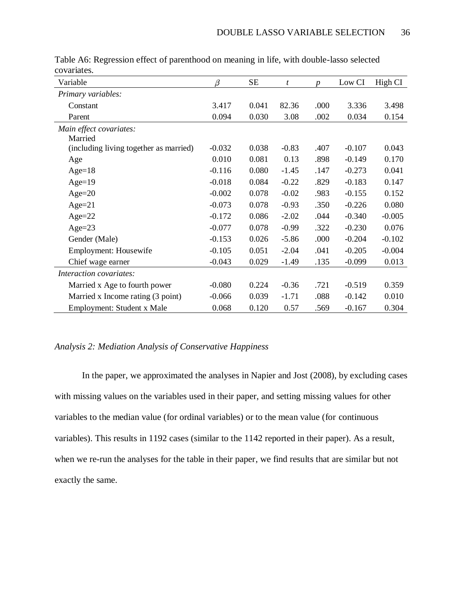| Variable                               | $\beta$  | <b>SE</b> | t       | $\boldsymbol{p}$ | Low CI   | High CI  |
|----------------------------------------|----------|-----------|---------|------------------|----------|----------|
| Primary variables:                     |          |           |         |                  |          |          |
| Constant                               | 3.417    | 0.041     | 82.36   | .000             | 3.336    | 3.498    |
| Parent                                 | 0.094    | 0.030     | 3.08    | .002             | 0.034    | 0.154    |
| Main effect covariates:                |          |           |         |                  |          |          |
| Married                                |          |           |         |                  |          |          |
| (including living together as married) | $-0.032$ | 0.038     | $-0.83$ | .407             | $-0.107$ | 0.043    |
| Age                                    | 0.010    | 0.081     | 0.13    | .898             | $-0.149$ | 0.170    |
| Age= $18$                              | $-0.116$ | 0.080     | $-1.45$ | .147             | $-0.273$ | 0.041    |
| $Age=19$                               | $-0.018$ | 0.084     | $-0.22$ | .829             | $-0.183$ | 0.147    |
| Age= $20$                              | $-0.002$ | 0.078     | $-0.02$ | .983             | $-0.155$ | 0.152    |
| $Age=21$                               | $-0.073$ | 0.078     | $-0.93$ | .350             | $-0.226$ | 0.080    |
| $Age = 22$                             | $-0.172$ | 0.086     | $-2.02$ | .044             | $-0.340$ | $-0.005$ |
| $Age = 23$                             | $-0.077$ | 0.078     | $-0.99$ | .322             | $-0.230$ | 0.076    |
| Gender (Male)                          | $-0.153$ | 0.026     | $-5.86$ | .000             | $-0.204$ | $-0.102$ |
| Employment: Housewife                  | $-0.105$ | 0.051     | $-2.04$ | .041             | $-0.205$ | $-0.004$ |
| Chief wage earner                      | $-0.043$ | 0.029     | $-1.49$ | .135             | $-0.099$ | 0.013    |
| Interaction covariates:                |          |           |         |                  |          |          |
| Married x Age to fourth power          | $-0.080$ | 0.224     | $-0.36$ | .721             | $-0.519$ | 0.359    |
| Married x Income rating (3 point)      | $-0.066$ | 0.039     | $-1.71$ | .088             | $-0.142$ | 0.010    |
| Employment: Student x Male             | 0.068    | 0.120     | 0.57    | .569             | $-0.167$ | 0.304    |

Table A6: Regression effect of parenthood on meaning in life, with double-lasso selected covariates.

# *Analysis 2: Mediation Analysis of Conservative Happiness*

In the paper, we approximated the analyses in Napier and Jost (2008), by excluding cases with missing values on the variables used in their paper, and setting missing values for other variables to the median value (for ordinal variables) or to the mean value (for continuous variables). This results in 1192 cases (similar to the 1142 reported in their paper). As a result, when we re-run the analyses for the table in their paper, we find results that are similar but not exactly the same.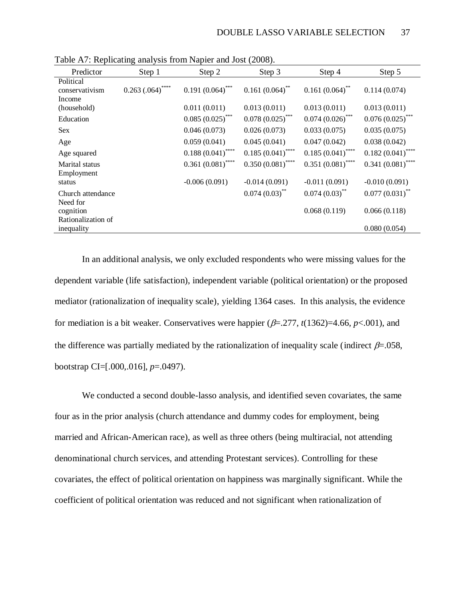| Predictor                                   | Step 1                            | Step 2              | Step 3                       | Step 4                       | Step 5              |
|---------------------------------------------|-----------------------------------|---------------------|------------------------------|------------------------------|---------------------|
| Political<br>conservativism<br>Income       | $0.263\left( .064\right) ^{****}$ | $0.191(0.064)$ ***  | $0.161(0.064)$ <sup>**</sup> | $0.161(0.064)$ <sup>**</sup> | 0.114(0.074)        |
| (household)                                 |                                   | 0.011(0.011)        | 0.013(0.011)                 | 0.013(0.011)                 | 0.013(0.011)        |
| Education                                   |                                   | $0.085(0.025)$ ***  | $0.078$ $(0.025)$ ***        | $0.074$ $(0.026)$ ***        | $0.076(0.025)$ ***  |
| <b>Sex</b>                                  |                                   | 0.046(0.073)        | 0.026(0.073)                 | 0.033(0.075)                 | 0.035(0.075)        |
| Age                                         |                                   | 0.059(0.041)        | 0.045(0.041)                 | 0.047(0.042)                 | 0.038(0.042)        |
| Age squared                                 |                                   | $0.188(0.041)$ **** | $0.185(0.041)$ ****          | $0.185(0.041)$ ****          | $0.182(0.041)$ **** |
| Marital status                              |                                   | $0.361(0.081)$ **** | $0.350(0.081)$ ****          | $0.351(0.081)$ ****          | $0.341(0.081)$ **** |
| Employment<br>status                        |                                   | $-0.006(0.091)$     | $-0.014(0.091)$              | $-0.011(0.091)$              | $-0.010(0.091)$     |
| Church attendance                           |                                   |                     | $0.074(0.03)$ <sup>**</sup>  | $0.074(0.03)$ **             | $0.077(0.031)$ **   |
| Need for<br>cognition<br>Rationalization of |                                   |                     |                              | 0.068(0.119)                 | 0.066(0.118)        |
| inequality                                  |                                   |                     |                              |                              | 0.080(0.054)        |

Table A7: Replicating analysis from Napier and Jost (2008).

In an additional analysis, we only excluded respondents who were missing values for the dependent variable (life satisfaction), independent variable (political orientation) or the proposed mediator (rationalization of inequality scale), yielding 1364 cases. In this analysis, the evidence for mediation is a bit weaker. Conservatives were happier  $(\beta = 277, t(1362)=4.66, p<.001)$ , and the difference was partially mediated by the rationalization of inequality scale (indirect  $\beta = .058$ , bootstrap CI=[.000,.016], *p*=.0497).

We conducted a second double-lasso analysis, and identified seven covariates, the same four as in the prior analysis (church attendance and dummy codes for employment, being married and African-American race), as well as three others (being multiracial, not attending denominational church services, and attending Protestant services). Controlling for these covariates, the effect of political orientation on happiness was marginally significant. While the coefficient of political orientation was reduced and not significant when rationalization of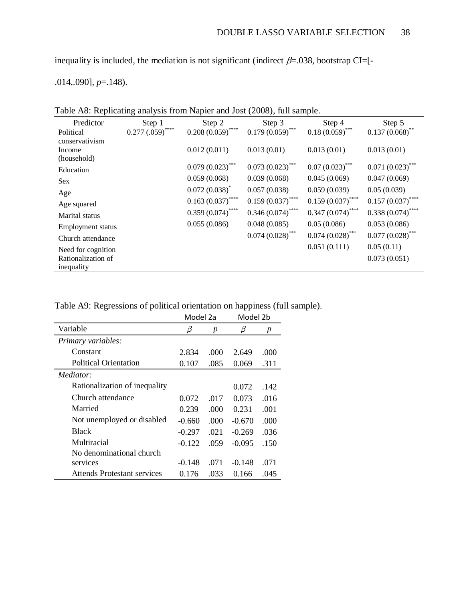inequality is included, the mediation is not significant (indirect  $\beta$ =.038, bootstrap CI=[-

.014,.090], *p*=.148).

|  | Table A8: Replicating analysis from Napier and Jost (2008), full sample. |  |
|--|--------------------------------------------------------------------------|--|
|  |                                                                          |  |

| Predictor                | Step 1              | Step 2                                    | Step 3                        | Step 4              | Step 5              |
|--------------------------|---------------------|-------------------------------------------|-------------------------------|---------------------|---------------------|
| Political                | ****<br>0.277(.059) | $0.208\left(\overline{0.059}\right)$ **** | $0.179\overline{(0.059)}$ *** | $0.18(0.059)$ ***   | $0.137(0.068)$ **   |
| conservativism           |                     |                                           |                               |                     |                     |
| Income                   |                     | 0.012(0.011)                              | 0.013(0.01)                   | 0.013(0.01)         | 0.013(0.01)         |
| (household)              |                     |                                           |                               |                     |                     |
| Education                |                     | $0.079(0.023)$ ***                        | $0.073(0.023)$ ***            | $0.07(0.023)$ ***   | $0.071(0.023)$ ***  |
| <b>Sex</b>               |                     | 0.059(0.068)                              | 0.039(0.068)                  | 0.045(0.069)        | 0.047(0.069)        |
| Age                      |                     | $0.072(0.038)^*$                          | 0.057(0.038)                  | 0.059(0.039)        | 0.05(0.039)         |
| Age squared              |                     | $0.163(0.037)$ ****                       | $0.159(0.037)$ ****           | $0.159(0.037)$ **** | $0.157(0.037)$ **** |
| Marital status           |                     | $0.359(0.074)$ ****                       | $0.346(0.074)$ ****           | $0.347(0.074)$ **** | $0.338(0.074)$ **** |
| <b>Employment</b> status |                     | 0.055(0.086)                              | 0.048(0.085)                  | 0.05(0.086)         | 0.053(0.086)        |
| Church attendance        |                     |                                           | $0.074 (0.028)$ ***           | $0.074 (0.028)$ *** | $0.077(0.028)$ ***  |
| Need for cognition       |                     |                                           |                               | 0.051(0.111)        | 0.05(0.11)          |
| Rationalization of       |                     |                                           |                               |                     | 0.073(0.051)        |
| inequality               |                     |                                           |                               |                     |                     |

Table A9: Regressions of political orientation on happiness (full sample).

|                                    | Model 2a |      | Model 2b |                  |
|------------------------------------|----------|------|----------|------------------|
| Variable                           | β        | p    | β        | $\boldsymbol{p}$ |
| Primary variables:                 |          |      |          |                  |
| Constant                           | 2.834    | .000 | 2.649    | .000             |
| <b>Political Orientation</b>       | 0.107    | .085 | 0.069    | .311             |
| Mediator:                          |          |      |          |                  |
| Rationalization of inequality      |          |      | 0.072    | .142             |
| Church attendance                  | 0.072    | .017 | 0.073    | .016             |
| Married                            | 0.239    | .000 | 0.231    | .001             |
| Not unemployed or disabled         | $-0.660$ | .000 | $-0.670$ | .000             |
| <b>Black</b>                       | $-0.297$ | .021 | $-0.269$ | .036             |
| Multiracial                        | $-0.122$ | .059 | $-0.095$ | .150             |
| No denominational church           |          |      |          |                  |
| services                           | $-0.148$ | .071 | $-0.148$ | .071             |
| <b>Attends Protestant services</b> | 0.176    | .033 | 0.166    | .045             |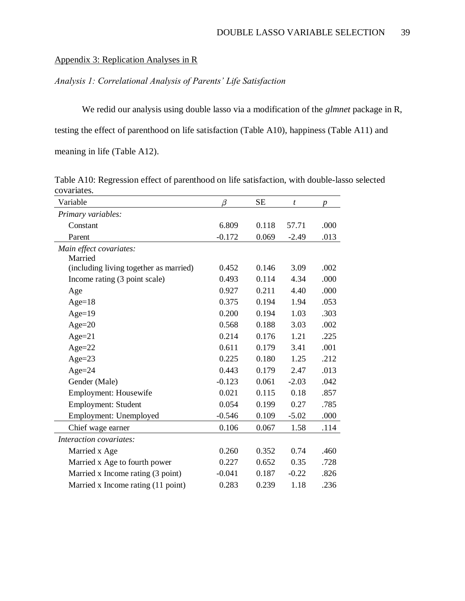# Appendix 3: Replication Analyses in R

# *Analysis 1: Correlational Analysis of Parents' Life Satisfaction*

We redid our analysis using double lasso via a modification of the *glmnet* package in R, testing the effect of parenthood on life satisfaction (Table A10), happiness (Table A11) and meaning in life (Table A12).

Table A10: Regression effect of parenthood on life satisfaction, with double-lasso selected covariates.

| Variable                               | β        | <b>SE</b> | t       | p    |
|----------------------------------------|----------|-----------|---------|------|
| Primary variables:                     |          |           |         |      |
| Constant                               | 6.809    | 0.118     | 57.71   | .000 |
| Parent                                 | $-0.172$ | 0.069     | $-2.49$ | .013 |
| Main effect covariates:                |          |           |         |      |
| Married                                |          |           |         |      |
| (including living together as married) | 0.452    | 0.146     | 3.09    | .002 |
| Income rating (3 point scale)          | 0.493    | 0.114     | 4.34    | .000 |
| Age                                    | 0.927    | 0.211     | 4.40    | .000 |
| $Age=18$                               | 0.375    | 0.194     | 1.94    | .053 |
| $Age=19$                               | 0.200    | 0.194     | 1.03    | .303 |
| $Age = 20$                             | 0.568    | 0.188     | 3.03    | .002 |
| $Age=21$                               | 0.214    | 0.176     | 1.21    | .225 |
| $Age = 22$                             | 0.611    | 0.179     | 3.41    | .001 |
| $Age = 23$                             | 0.225    | 0.180     | 1.25    | .212 |
| Age= $24$                              | 0.443    | 0.179     | 2.47    | .013 |
| Gender (Male)                          | $-0.123$ | 0.061     | $-2.03$ | .042 |
| <b>Employment: Housewife</b>           | 0.021    | 0.115     | 0.18    | .857 |
| Employment: Student                    | 0.054    | 0.199     | 0.27    | .785 |
| Employment: Unemployed                 | $-0.546$ | 0.109     | $-5.02$ | .000 |
| Chief wage earner                      | 0.106    | 0.067     | 1.58    | .114 |
| Interaction covariates:                |          |           |         |      |
| Married x Age                          | 0.260    | 0.352     | 0.74    | .460 |
| Married x Age to fourth power          | 0.227    | 0.652     | 0.35    | .728 |
| Married x Income rating (3 point)      | $-0.041$ | 0.187     | $-0.22$ | .826 |
| Married x Income rating (11 point)     | 0.283    | 0.239     | 1.18    | .236 |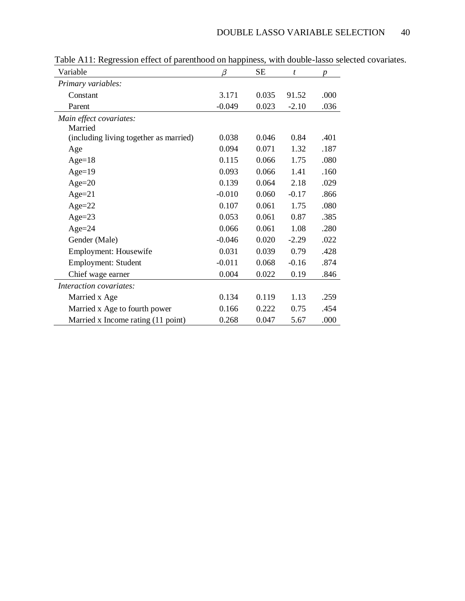| Variable                               | β        | <b>SE</b> | $\boldsymbol{t}$ | $\boldsymbol{p}$ |
|----------------------------------------|----------|-----------|------------------|------------------|
| Primary variables:                     |          |           |                  |                  |
| Constant                               | 3.171    | 0.035     | 91.52            | .000             |
| Parent                                 | $-0.049$ | 0.023     | $-2.10$          | .036             |
| Main effect covariates:<br>Married     |          |           |                  |                  |
| (including living together as married) | 0.038    | 0.046     | 0.84             | .401             |
| Age                                    | 0.094    | 0.071     | 1.32             | .187             |
| $Age=18$                               | 0.115    | 0.066     | 1.75             | .080             |
| Age= $19$                              | 0.093    | 0.066     | 1.41             | .160             |
| Age= $20$                              | 0.139    | 0.064     | 2.18             | .029             |
| $Age = 21$                             | $-0.010$ | 0.060     | $-0.17$          | .866             |
| $Age = 22$                             | 0.107    | 0.061     | 1.75             | .080             |
| Age= $23$                              | 0.053    | 0.061     | 0.87             | .385             |
| Age= $24$                              | 0.066    | 0.061     | 1.08             | .280             |
| Gender (Male)                          | $-0.046$ | 0.020     | $-2.29$          | .022             |
| Employment: Housewife                  | 0.031    | 0.039     | 0.79             | .428             |
| Employment: Student                    | $-0.011$ | 0.068     | $-0.16$          | .874             |
| Chief wage earner                      | 0.004    | 0.022     | 0.19             | .846             |
| Interaction covariates:                |          |           |                  |                  |
| Married x Age                          | 0.134    | 0.119     | 1.13             | .259             |
| Married x Age to fourth power          | 0.166    | 0.222     | 0.75             | .454             |
| Married x Income rating (11 point)     | 0.268    | 0.047     | 5.67             | .000             |

Table A11: Regression effect of parenthood on happiness, with double-lasso selected covariates.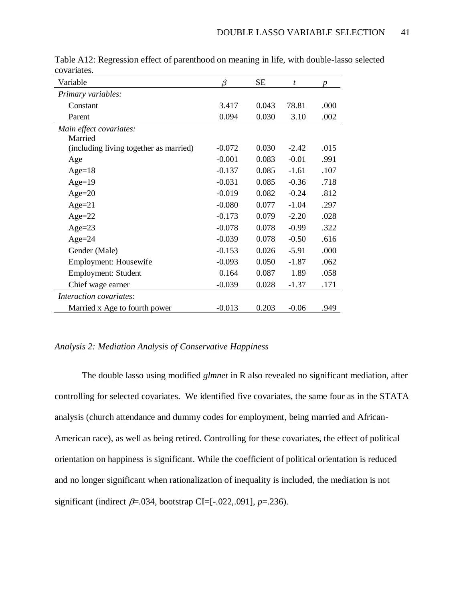| Variable                               | β        | SЕ    | $\boldsymbol{t}$ | $\boldsymbol{p}$ |
|----------------------------------------|----------|-------|------------------|------------------|
| Primary variables:                     |          |       |                  |                  |
| Constant                               | 3.417    | 0.043 | 78.81            | .000             |
| Parent                                 | 0.094    | 0.030 | 3.10             | .002             |
| Main effect covariates:                |          |       |                  |                  |
| Married                                |          |       |                  |                  |
| (including living together as married) | $-0.072$ | 0.030 | $-2.42$          | .015             |
| Age                                    | $-0.001$ | 0.083 | $-0.01$          | .991             |
| Age= $18$                              | $-0.137$ | 0.085 | $-1.61$          | .107             |
| $Age=19$                               | $-0.031$ | 0.085 | $-0.36$          | .718             |
| $Age = 20$                             | $-0.019$ | 0.082 | $-0.24$          | .812             |
| $Age=21$                               | $-0.080$ | 0.077 | $-1.04$          | .297             |
| $Age = 22$                             | $-0.173$ | 0.079 | $-2.20$          | .028             |
| Age= $23$                              | $-0.078$ | 0.078 | $-0.99$          | .322             |
| $Age = 24$                             | $-0.039$ | 0.078 | $-0.50$          | .616             |
| Gender (Male)                          | $-0.153$ | 0.026 | $-5.91$          | .000             |
| Employment: Housewife                  | $-0.093$ | 0.050 | $-1.87$          | .062             |
| Employment: Student                    | 0.164    | 0.087 | 1.89             | .058             |
| Chief wage earner                      | $-0.039$ | 0.028 | $-1.37$          | .171             |
| <i>Interaction covariates:</i>         |          |       |                  |                  |
| Married x Age to fourth power          | $-0.013$ | 0.203 | $-0.06$          | .949             |

Table A12: Regression effect of parenthood on meaning in life, with double-lasso selected covariates.

# *Analysis 2: Mediation Analysis of Conservative Happiness*

The double lasso using modified *glmnet* in R also revealed no significant mediation, after controlling for selected covariates. We identified five covariates, the same four as in the STATA analysis (church attendance and dummy codes for employment, being married and African-American race), as well as being retired. Controlling for these covariates, the effect of political orientation on happiness is significant. While the coefficient of political orientation is reduced and no longer significant when rationalization of inequality is included, the mediation is not significant (indirect  $\beta = .034$ , bootstrap CI=[-.022,.091], *p*=.236).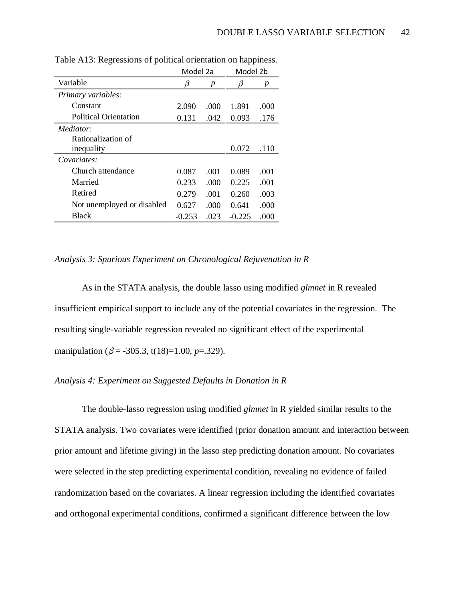|                              | Model 2a |      | Model 2b |      |
|------------------------------|----------|------|----------|------|
| Variable                     | β        | p    | β        | p    |
| Primary variables:           |          |      |          |      |
| Constant                     | 2.090    | .000 | 1.891    | .000 |
| <b>Political Orientation</b> | 0.131    | .042 | 0.093    | .176 |
| Mediator:                    |          |      |          |      |
| Rationalization of           |          |      |          |      |
| inequality                   |          |      | 0.072    | .110 |
| Covariates:                  |          |      |          |      |
| Church attendance            | 0.087    | .001 | 0.089    | .001 |
| Married                      | 0.233    | .000 | 0.225    | .001 |
| Retired                      | 0.279    | .001 | 0.260    | .003 |
| Not unemployed or disabled   | 0.627    | .000 | 0.641    | .000 |
| <b>Black</b>                 | $-0.253$ | .023 | $-0.225$ | .000 |

Table A13: Regressions of political orientation on happiness.

### *Analysis 3: Spurious Experiment on Chronological Rejuvenation in R*

As in the STATA analysis, the double lasso using modified *glmnet* in R revealed insufficient empirical support to include any of the potential covariates in the regression. The resulting single-variable regression revealed no significant effect of the experimental manipulation ( $\beta$  = -305.3, t(18)=1.00, *p*=.329).

# *Analysis 4: Experiment on Suggested Defaults in Donation in R*

The double-lasso regression using modified *glmnet* in R yielded similar results to the STATA analysis. Two covariates were identified (prior donation amount and interaction between prior amount and lifetime giving) in the lasso step predicting donation amount. No covariates were selected in the step predicting experimental condition, revealing no evidence of failed randomization based on the covariates. A linear regression including the identified covariates and orthogonal experimental conditions, confirmed a significant difference between the low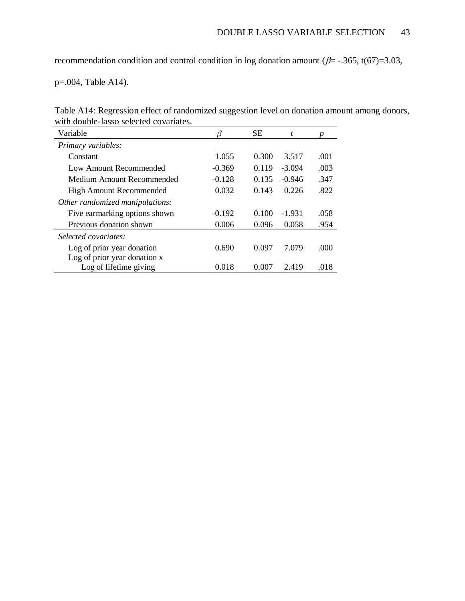recommendation condition and control condition in log donation amount ( $\beta$ = -.365, t(67)=3.03,

p=.004, Table A14).

| Table A14: Regression effect of randomized suggestion level on donation amount among donors, |  |  |  |
|----------------------------------------------------------------------------------------------|--|--|--|
| with double-lasso selected covariates.                                                       |  |  |  |

| Variable                        | β        | <b>SE</b> | t        | p    |
|---------------------------------|----------|-----------|----------|------|
| Primary variables:              |          |           |          |      |
| Constant                        | 1.055    | 0.300     | 3.517    | .001 |
| Low Amount Recommended          | $-0.369$ | 0.119     | $-3.094$ | .003 |
| Medium Amount Recommended       | $-0.128$ | 0.135     | $-0.946$ | .347 |
| <b>High Amount Recommended</b>  | 0.032    | 0.143     | 0.226    | .822 |
| Other randomized manipulations: |          |           |          |      |
| Five earmarking options shown   | $-0.192$ | 0.100     | $-1.931$ | .058 |
| Previous donation shown         | 0.006    | 0.096     | 0.058    | .954 |
| Selected covariates:            |          |           |          |      |
| Log of prior year donation      | 0.690    | 0.097     | 7.079    | .000 |
| Log of prior year donation x    |          |           |          |      |
| Log of lifetime giving          | 0.018    | 0.007     | 2.419    | .018 |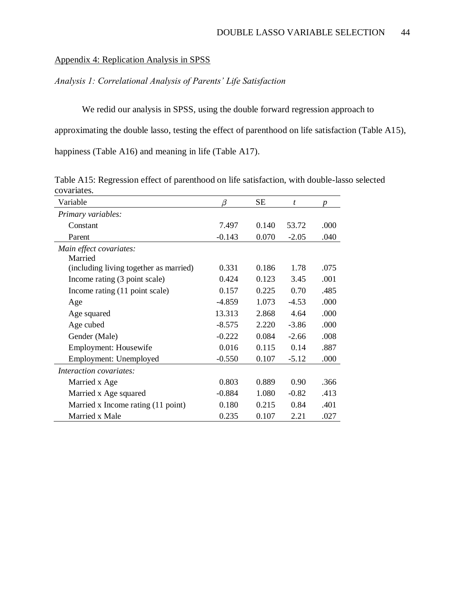### Appendix 4: Replication Analysis in SPSS

### *Analysis 1: Correlational Analysis of Parents' Life Satisfaction*

We redid our analysis in SPSS, using the double forward regression approach to approximating the double lasso, testing the effect of parenthood on life satisfaction (Table A15), happiness (Table A16) and meaning in life (Table A17).

Variable  $\beta$  SE  $t$  *p Primary variables:* Constant 7.497 0.140 53.72 .000 Parent -0.143 0.070 -2.05 .040 *Main effect covariates:* Married (including living together as married) 0.331 0.186 1.78 .075 Income rating (3 point scale) 0.424 0.123 3.45 .001 Income rating (11 point scale) 0.157 0.225 0.70 .485 Age -4.859 1.073 -4.53 .000 Age squared 13.313 2.868 4.64 .000 Age cubed -8.575 2.220 -3.86 .000 Gender (Male)  $-0.222$   $0.084$   $-2.66$   $.008$ Employment: Housewife 0.016 0.115 0.14 .887 Employment: Unemployed -0.550 0.107 -5.12 .000 *Interaction covariates:* Married x Age 0.803 0.803 0.889 0.90 0.366 Married x Age squared -0.884 1.080 -0.82 .413 Married x Income rating (11 point) 0.180 0.215 0.84 .401 Married x Male 0.235 0.107 2.21 0.27

Table A15: Regression effect of parenthood on life satisfaction, with double-lasso selected covariates.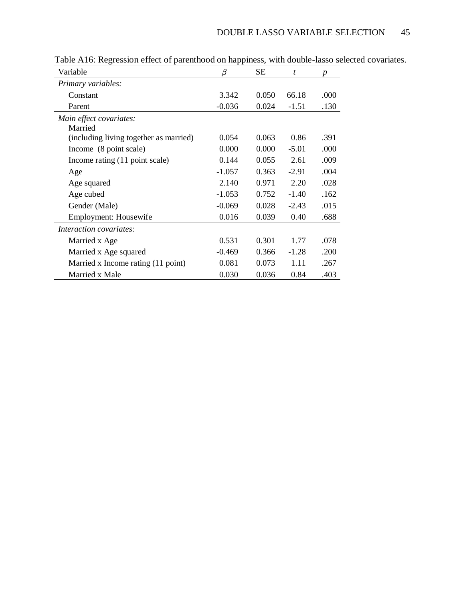| Variable                               | β        | <b>SE</b> | t       | $\boldsymbol{p}$ |
|----------------------------------------|----------|-----------|---------|------------------|
| Primary variables:                     |          |           |         |                  |
| Constant                               | 3.342    | 0.050     | 66.18   | .000             |
| Parent                                 | $-0.036$ | 0.024     | $-1.51$ | .130             |
| Main effect covariates:<br>Married     |          |           |         |                  |
| (including living together as married) | 0.054    | 0.063     | 0.86    | .391             |
| Income (8 point scale)                 | 0.000    | 0.000     | $-5.01$ | .000             |
| Income rating (11 point scale)         | 0.144    | 0.055     | 2.61    | .009             |
| Age                                    | $-1.057$ | 0.363     | $-2.91$ | .004             |
| Age squared                            | 2.140    | 0.971     | 2.20    | .028             |
| Age cubed                              | $-1.053$ | 0.752     | $-1.40$ | .162             |
| Gender (Male)                          | $-0.069$ | 0.028     | $-2.43$ | .015             |
| Employment: Housewife                  | 0.016    | 0.039     | 0.40    | .688             |
| <i>Interaction covariates:</i>         |          |           |         |                  |
| Married x Age                          | 0.531    | 0.301     | 1.77    | .078             |
| Married x Age squared                  | $-0.469$ | 0.366     | $-1.28$ | .200             |
| Married x Income rating (11 point)     | 0.081    | 0.073     | 1.11    | .267             |
| Married x Male                         | 0.030    | 0.036     | 0.84    | .403             |

Table A16: Regression effect of parenthood on happiness, with double-lasso selected covariates.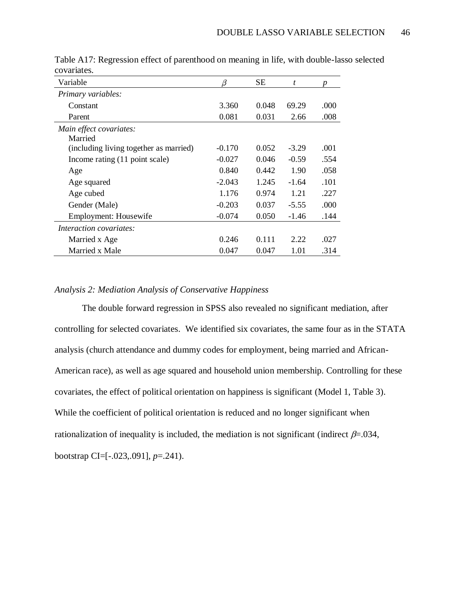| Variable                               | β        | SЕ    | t       | p    |
|----------------------------------------|----------|-------|---------|------|
| Primary variables:                     |          |       |         |      |
| Constant                               | 3.360    | 0.048 | 69.29   | .000 |
| Parent                                 | 0.081    | 0.031 | 2.66    | .008 |
| Main effect covariates:<br>Married     |          |       |         |      |
| (including living together as married) | $-0.170$ | 0.052 | $-3.29$ | .001 |
| Income rating (11 point scale)         | $-0.027$ | 0.046 | $-0.59$ | .554 |
| Age                                    | 0.840    | 0.442 | 1.90    | .058 |
| Age squared                            | $-2.043$ | 1.245 | $-1.64$ | .101 |
| Age cubed                              | 1.176    | 0.974 | 1.21    | .227 |
| Gender (Male)                          | $-0.203$ | 0.037 | $-5.55$ | .000 |
| Employment: Housewife                  | $-0.074$ | 0.050 | $-1.46$ | .144 |
| <i>Interaction covariates:</i>         |          |       |         |      |
| Married x Age                          | 0.246    | 0.111 | 2.22    | .027 |
| Married x Male                         | 0.047    | 0.047 | 1.01    | .314 |

Table A17: Regression effect of parenthood on meaning in life, with double-lasso selected covariates.

# *Analysis 2: Mediation Analysis of Conservative Happiness*

The double forward regression in SPSS also revealed no significant mediation, after controlling for selected covariates. We identified six covariates, the same four as in the STATA analysis (church attendance and dummy codes for employment, being married and African-American race), as well as age squared and household union membership. Controlling for these covariates, the effect of political orientation on happiness is significant (Model 1, Table 3). While the coefficient of political orientation is reduced and no longer significant when rationalization of inequality is included, the mediation is not significant (indirect  $\beta = .034$ , bootstrap CI=[-.023,.091], *p*=.241).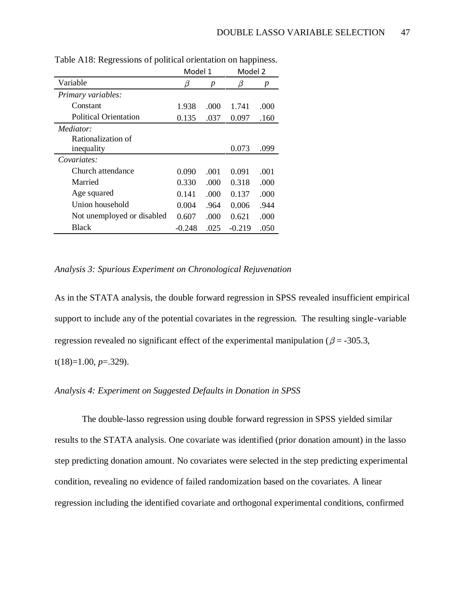|                              | Model 1  |      | Model 2  |      |
|------------------------------|----------|------|----------|------|
| Variable                     | β        | p    | β        | p    |
| Primary variables:           |          |      |          |      |
| Constant                     | 1.938    | .000 | 1.741    | .000 |
| <b>Political Orientation</b> | 0.135    | .037 | 0.097    | .160 |
| Mediator:                    |          |      |          |      |
| Rationalization of           |          |      |          |      |
| inequality                   |          |      | 0.073    | .099 |
| Covariates:                  |          |      |          |      |
| Church attendance            | 0.090    | .001 | 0.091    | .001 |
| Married                      | 0.330    | .000 | 0.318    | .000 |
| Age squared                  | 0.141    | .000 | 0.137    | .000 |
| Union household              | 0.004    | .964 | 0.006    | .944 |
| Not unemployed or disabled   | 0.607    | .000 | 0.621    | .000 |
| Black                        | $-0.248$ | .025 | $-0.219$ | .050 |

Table A18: Regressions of political orientation on happiness.

### *Analysis 3: Spurious Experiment on Chronological Rejuvenation*

As in the STATA analysis, the double forward regression in SPSS revealed insufficient empirical support to include any of the potential covariates in the regression. The resulting single-variable regression revealed no significant effect of the experimental manipulation ( $\beta$  = -305.3,

t(18)=1.00, *p*=.329).

# *Analysis 4: Experiment on Suggested Defaults in Donation in SPSS*

The double-lasso regression using double forward regression in SPSS yielded similar results to the STATA analysis. One covariate was identified (prior donation amount) in the lasso step predicting donation amount. No covariates were selected in the step predicting experimental condition, revealing no evidence of failed randomization based on the covariates. A linear regression including the identified covariate and orthogonal experimental conditions, confirmed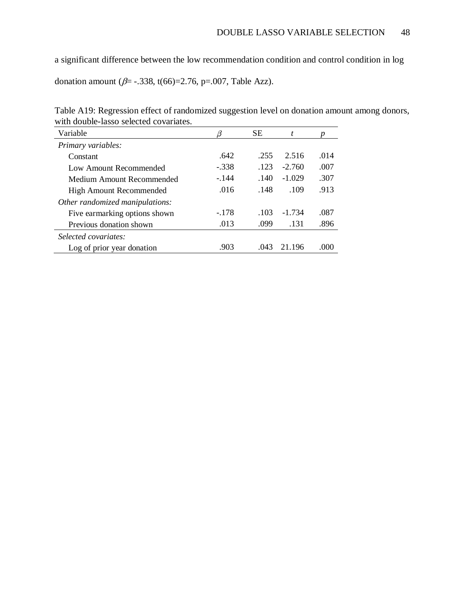a significant difference between the low recommendation condition and control condition in log

donation amount ( $\beta$ = -.338, t(66)=2.76, p=.007, Table Azz).

| Table A19: Regression effect of randomized suggestion level on donation amount among donors, |  |
|----------------------------------------------------------------------------------------------|--|
| with double-lasso selected covariates.                                                       |  |

| Variable                        |         | <b>SE</b> | t        |        |
|---------------------------------|---------|-----------|----------|--------|
| Primary variables:              |         |           |          |        |
| Constant                        | .642    | .255      | 2.516    | .014   |
| Low Amount Recommended          | $-.338$ | .123      | $-2.760$ | .007   |
| Medium Amount Recommended       | $-144$  | .140      | $-1.029$ | .307   |
| <b>High Amount Recommended</b>  | .016    | .148      | .109     | .913   |
| Other randomized manipulations: |         |           |          |        |
| Five earmarking options shown   | $-.178$ | .103      | $-1.734$ | .087   |
| Previous donation shown         | .013    | .099      | .131     | .896   |
| Selected covariates:            |         |           |          |        |
| Log of prior year donation      | .903    | .043      | 21.196   | (1000) |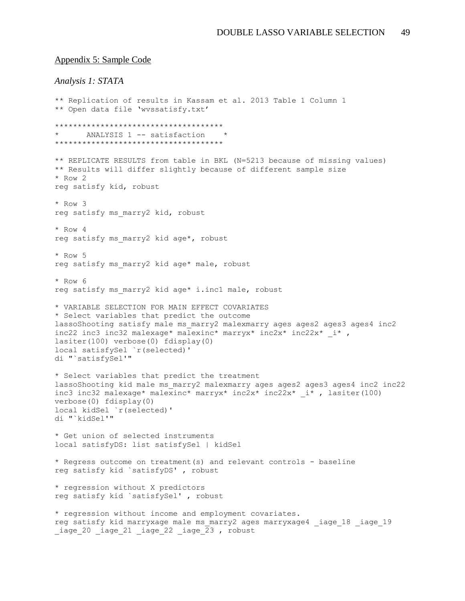#### Appendix 5: Sample Code

### *Analysis 1: STATA*

```
** Replication of results in Kassam et al. 2013 Table 1 Column 1
** Open data file 'wvssatisfy.txt'
*************************************
      ANALYSIS 1 -- satisfaction
*************************************
** REPLICATE RESULTS from table in BKL (N=5213 because of missing values)
** Results will differ slightly because of different sample size
* Row 2
reg satisfy kid, robust
* Row 3
reg satisfy ms marry2 kid, robust
* Row 4
reg satisfy ms_marry2 kid age*, robust
* Row 5
reg satisfy ms marry2 kid age* male, robust
* Row 6
reg satisfy ms marry2 kid age* i.inc1 male, robust
* VARIABLE SELECTION FOR MAIN EFFECT COVARIATES
* Select variables that predict the outcome 
lassoShooting satisfy male ms marry2 malexmarry ages ages2 ages3 ages4 inc2
inc22 inc3 inc32 malexage* malexinc* marryx* inc2x* inc22x* _i* , 
lasiter(100) verbose(0) fdisplay(0) 
local satisfySel `r(selected)'
di "`satisfySel'"
* Select variables that predict the treatment
lassoShooting kid male ms marry2 malexmarry ages ages2 ages3 ages4 inc2 inc22
inc3 inc32 malexage* malexinc* marryx* inc2x* inc22x* i*, lasiter(100)
verbose(0) fdisplay(0) 
local kidSel `r(selected)' 
di "`kidSel'" 
* Get union of selected instruments
local satisfyDS: list satisfySel | kidSel
* Regress outcome on treatment(s) and relevant controls - baseline
reg satisfy kid `satisfyDS' , robust
* regression without X predictors
reg satisfy kid `satisfySel' , robust
* regression without income and employment covariates.
reg satisfy kid marryxage male ms marry2 ages marryxage4 _iage 18 _iage 19
iage 20 iage 21 iage 22 iage \overline{2}3 , robust
```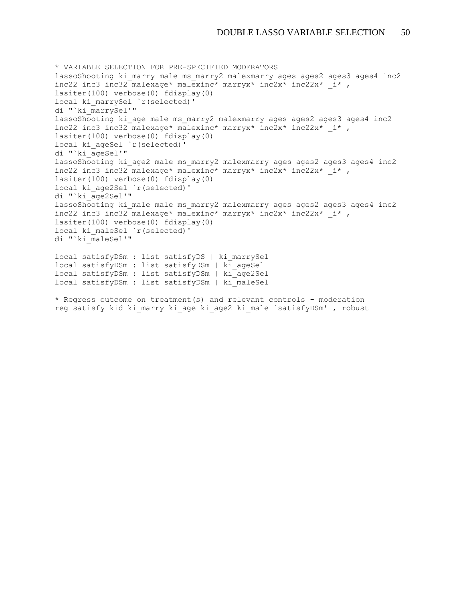```
* VARIABLE SELECTION FOR PRE-SPECIFIED MODERATORS
lassoShooting ki marry male ms marry2 malexmarry ages ages2 ages3 ages4 inc2
inc22 inc3 inc32 malexage* malexinc* marryx* inc2x* inc22x* i*,
lasiter(100) verbose(0) fdisplay(0) 
local ki marrySel `r(selected)'
di "`ki_marrySel'" 
lassoShooting ki age male ms marry2 malexmarry ages ages2 ages3 ages4 inc2
inc22 inc3 inc32 malexage* malexinc* marryx* inc2x* inc22x* i*,
lasiter(100) verbose(0) fdisplay(0) 
local ki ageSel `r(selected)'
di "`ki_ageSel'" 
lassoShooting ki age2 male ms marry2 malexmarry ages ages2 ages3 ages4 inc2
inc22 inc3 inc32 malexage* malexinc* marryx* inc2x* inc22x* i*,
lasiter(100) verbose(0) fdisplay(0) 
local ki_age2Sel `r(selected)' 
di "`ki_age2Sel'" 
lassoShooting ki male male ms marry2 malexmarry ages ages2 ages3 ages4 inc2
inc22 inc3 inc32 malexage* malexinc* marryx* inc2x* inc22x* i* ,
lasiter(100) verbose(0) fdisplay(0) 
local ki maleSel `r(selected)'
di "`ki_maleSel'" 
local satisfyDSm : list satisfyDS | ki_marrySel
```
local satisfyDSm : list satisfyDSm | ki\_ageSel local satisfyDSm : list satisfyDSm | ki\_age2Sel local satisfyDSm : list satisfyDSm | ki\_maleSel

\* Regress outcome on treatment(s) and relevant controls - moderation reg satisfy kid ki marry ki age ki age2 ki male `satisfyDSm' , robust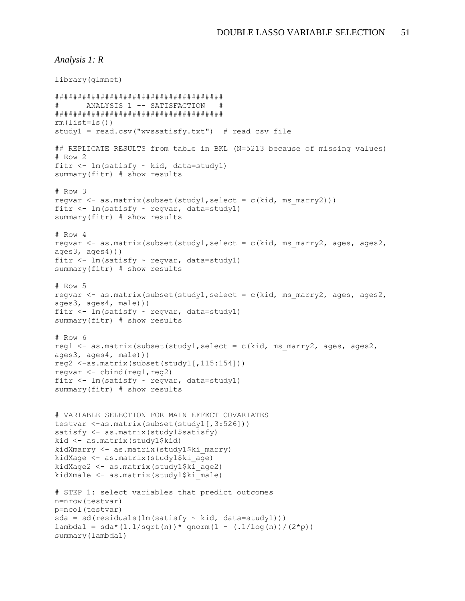#### *Analysis 1: R*

```
library(glmnet)
#####################################
# ANALYSIS 1 -- SATISFACTION #
#####################################
rm(lists = ls() )study1 = read.csv("wvssatisfy.txt") # read csv file
## REPLICATE RESULTS from table in BKL (N=5213 because of missing values)
# Row 2
fitr \leq 1m(satisfy \sim kid, data=study1)
summary(fitr) # show results
# Row 3
regvar \leq as.matrix (subset(study1, select = c(kid, ms marry2)))
fitr <- lm(satisfy ~ regvar, data=study1)
summary(fitr) # show results
# Row 4
regvar <- as.matrix(subset(study1, select = c(kid, ms marry2, ages, ages2,
aqes3, aqes4))fitr \leq 1m(satisfy \sim regvar, data=study1)
summary(fitr) # show results
# Row 5
regvar <- as.matrix(subset(study1,select = c(kid, ms_marry2, ages, ages2, 
ages3, ages4, male)))
fitr \leq -\ln(\text{satisfy} \sim \text{regular}, \text{data=study1})summary(fitr) # show results
# Row 6
reg1 \leq - as.matrix(subset(study1, select = c(kid, ms marry2, ages, ages2,
ages3, ages4, male)))
reg2 <-as.matrix(subset(study1[,115:154]))
regvar \leq cbind(reg1, reg2)
fitr <- lm(satisfy ~ regvar, data=study1)
summary(fitr) # show results
# VARIABLE SELECTION FOR MAIN EFFECT COVARIATES
testvar <-as.matrix(subset(study1[,3:526]))
satisfy \leftarrow as.matrix(study1$satisfy)
kid <- as.matrix(study1$kid)
kidXmarry <- as.matrix(study1$ki_marry)
kidXage <- as.matrix(study1$ki_age)
kidXage2 <- as.matrix(study1$ki_age2)
kidXmale <- as.matrix(study1$ki male)
# STEP 1: select variables that predict outcomes
n=nrow(testvar)
p=ncol(testvar)
sda = sd(residuals(lm(satisfy ~ kid, data=study1)))lambda1 = sda * (1.1/sqrt(n)) * qnorm(1 - (.1/log(n)) / (2*p))summary(lambda1)
```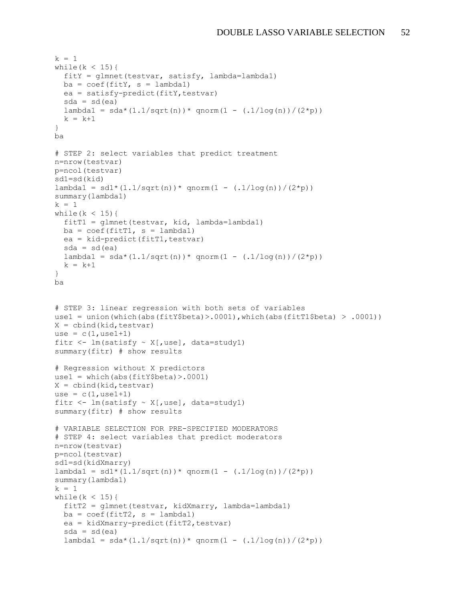```
k = 1while(k < 15){
  fity = qlmnet(testvar, satisfy, lambda=lambda1)ba = coef(fitY, s = lambda1)ea = satisfy-predict(fitY,testvar)sda = sd(ea)lambda1 = sda * (1.1/sqrt(n)) * qnorm(1 - (.1/\log(n)) / (2*p))k = k+1}
ba
# STEP 2: select variables that predict treatment
n=nrow(testvar)
p=ncol(testvar)
sd1=sd(kid)
lambda1 = sd1*(1.1/sqrt(n))*qnorm(1 - (.1/\log(n))/(2*pi))summary(lambda1)
k = 1while(k < 15){
 fitT1 = glmnet(testvar, kid, lambda=lambda1)ba = coef(fitT1, s = lambda1)ea = kid-predict(fitr1,testvar)sda = sd(ea)lambdal = sda * (1.1/sqrt(n)) * qnorm(1 - (.1/\log(n)) / (2*p))k = k+1}
ba
# STEP 3: linear regression with both sets of variables
use1 = union(which(abs(fitY$beta)>.0001),which(abs(fitT1$beta) > .0001))
X = cbind (kid, testvar)
use = c(1,use1+1)fitr \leftarrow lm(satisfy \sim X[, use], data=study1)
summary(fitr) # show results
# Regression without X predictors
use1 = which(abs(fitY$beta) > .0001)
X = cbind(kid, testvar)
use = c(1,use1+1)fitr \leq 1m(satisfy \sim X[, use], data=study1)
summary(fitr) # show results
# VARIABLE SELECTION FOR PRE-SPECIFIED MODERATORS
# STEP 4: select variables that predict moderators
n=nrow(testvar)
p=ncol(testvar)
sd1=sd(kidXmarry)
lambda1 = sd1*(1.1/sqrt(n))*qnorm(1 - (.1/\log(n))/(2*pi))summary(lambda1)
k = 1while (k < 15) {
 fitT2 = qlmnet(testvar, kidXmarry, lambda=lambda1)ba = coef(fitT2, s = lambda1)ea = kidXmary-predict(fitr2,testvar)sda = sd(ea)lambda1 = sda * (1.1/sqrt(n)) * qnorm(1 - (.1/\log(n)) / (2*p))
```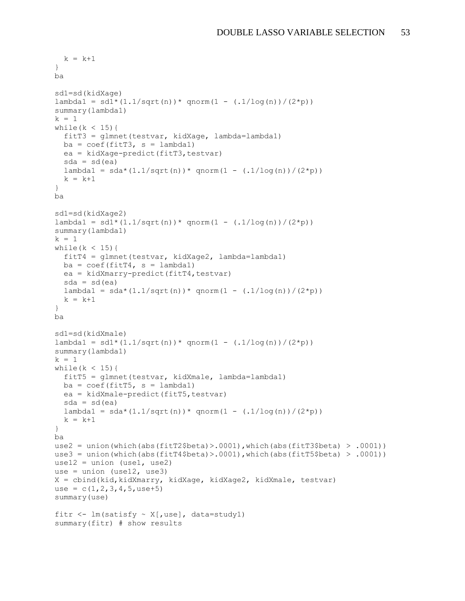```
k = k+1}
ba
sd1=sd(kidXage)
lambda1 = sd1*(1.1/sqrt(n))*qnorm(1 - (.1/log(n))/(2*pi))summary(lambda1)
k = 1while(k < 15){
   fitT3 = glmnet(testvar, kidXage, lambda=lambda1)
 ba = coef(fitT3, s = lambda1) ea = kidXage-predict(fitT3,testvar)
  sda = sd(ea)lambda1 = sda * (1.1/sqrt(n)) * qnorm(1 - (.1/\log(n)) / (2*p))k = k+1}
ba
sd1=sd(kidXage2)
lambda1 = sd1*(1.1/sqrt(n))*qnorm(1 - (.1/log(n))/(2*pi))summary(lambda1)
k = 1while(k < 15){
  fitT4 = glmnet(testvar, kidXage2, lambda=lambda1)
 ba = coef(fitT4, s = lambda1) ea = kidXmarry-predict(fitT4,testvar)
  sda = sd(ea)lambda1 = sda * (1.1/sqrt(n)) * qnorm(1 - (.1/\log(n)) / (2*p))k = k+1}
ba
sd1=sd(kidXmale)
lambda1 = sd1*(1.1/sqrt(n))*qnorm(1 - (.1/\log(n))/(2*pi))summary(lambda1)
k = 1while(k < 15){
   fitT5 = glmnet(testvar, kidXmale, lambda=lambda1)
 ba = coef(fitt5, s = lambda1)ea = kidXmale-predict(fitT5,testvar)sda = sd(ea)lambda1 = sda * (1.1/sqrt(n)) * qnorm(1 - (.1/\log(n)) / (2*p))k = k+1}
ba
use2 = union(which(abs(fitT2$beta)>.0001),which(abs(fitT3$beta) > .0001))
use3 = union(which(abs(fitT4$beta)>.0001),which(abs(fitT5$beta) > .0001))
use12 = union (use1, use2)use = union (use12, use3)
X = cbind(kid,kidXmarry, kidXage, kidXage2, kidXmale, testvar)
use = c(1, 2, 3, 4, 5,use+5)
summary(use)
fitr \leq 1m(satisfy \sim X[, use], data=study1)
summary(fitr) # show results
```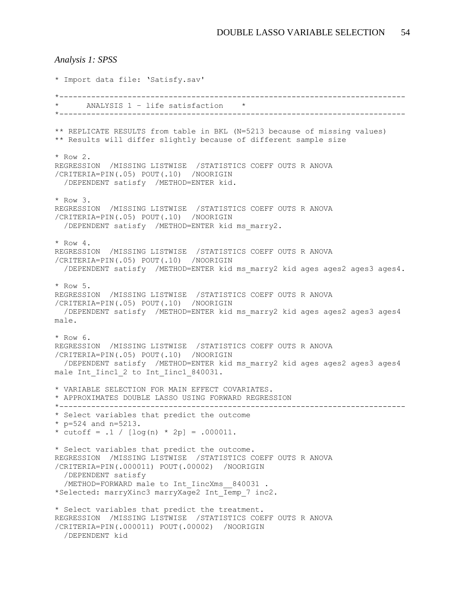```
Analysis 1: SPSS
* Import data file: 'Satisfy.sav'
*----------------------------------------------------------------------------
     * ANALYSIS 1 – life satisfaction *
*----------------------------------------------------------------------------
** REPLICATE RESULTS from table in BKL (N=5213 because of missing values)
** Results will differ slightly because of different sample size
* Row 2.
REGRESSION /MISSING LISTWISE /STATISTICS COEFF OUTS R ANOVA 
/CRITERIA=PIN(.05) POUT(.10) /NOORIGIN 
   /DEPENDENT satisfy /METHOD=ENTER kid.
* Row 3.
REGRESSION /MISSING LISTWISE /STATISTICS COEFF OUTS R ANOVA 
/CRITERIA=PIN(.05) POUT(.10) /NOORIGIN 
   /DEPENDENT satisfy /METHOD=ENTER kid ms_marry2.
* Row 4.
REGRESSION /MISSING LISTWISE /STATISTICS COEFF OUTS R ANOVA 
/CRITERIA=PIN(.05) POUT(.10) /NOORIGIN 
   /DEPENDENT satisfy /METHOD=ENTER kid ms_marry2 kid ages ages2 ages3 ages4.
* Row 5.
REGRESSION /MISSING LISTWISE /STATISTICS COEFF OUTS R ANOVA 
/CRITERIA=PIN(.05) POUT(.10) /NOORIGIN 
   /DEPENDENT satisfy /METHOD=ENTER kid ms_marry2 kid ages ages2 ages3 ages4 
male.
* Row 6.
REGRESSION /MISSING LISTWISE /STATISTICS COEFF OUTS R ANOVA 
/CRITERIA=PIN(.05) POUT(.10) /NOORIGIN 
   /DEPENDENT satisfy /METHOD=ENTER kid ms_marry2 kid ages ages2 ages3 ages4 
male Int Iinc1 2 to Int Iinc1 840031.
* VARIABLE SELECTION FOR MAIN EFFECT COVARIATES.
* APPROXIMATES DOUBLE LASSO USING FORWARD REGRESSION
*----------------------------------------------------------------------------
* Select variables that predict the outcome 
* p=524 and n=5213.
* cutoff = .1 / [\log(n) * 2p] = .000011.
* Select variables that predict the outcome.
REGRESSION /MISSING LISTWISE /STATISTICS COEFF OUTS R ANOVA 
/CRITERIA=PIN(.000011) POUT(.00002) /NOORIGIN 
   /DEPENDENT satisfy
 /METHOD=FORWARD male to Int IincXms 840031.
*Selected: marryXinc3 marryXage2 Int_Iemp_7 inc2.
* Select variables that predict the treatment.
REGRESSION /MISSING LISTWISE /STATISTICS COEFF OUTS R ANOVA 
/CRITERIA=PIN(.000011) POUT(.00002) /NOORIGIN 
   /DEPENDENT kid
```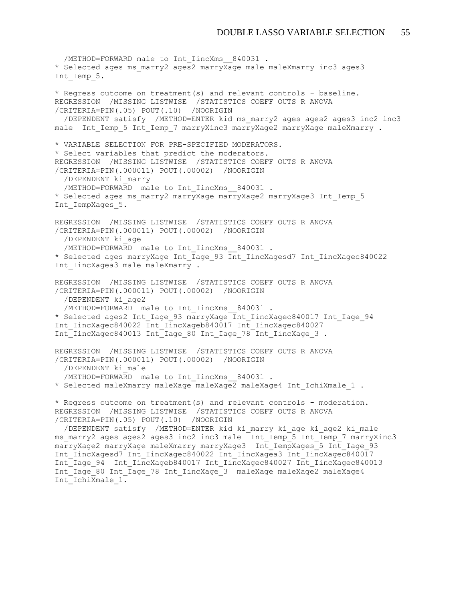/METHOD=FORWARD male to Int IincXms 840031. \* Selected ages ms marry2 ages2 marryXage male maleXmarry inc3 ages3 Int Iemp 5. \* Regress outcome on treatment(s) and relevant controls - baseline. REGRESSION /MISSING LISTWISE /STATISTICS COEFF OUTS R ANOVA /CRITERIA=PIN(.05) POUT(.10) /NOORIGIN /DEPENDENT satisfy /METHOD=ENTER kid ms\_marry2 ages ages2 ages3 inc2 inc3 male Int Iemp 5 Int Iemp 7 marryXinc3 marryXage2 marryXage maleXmarry . \* VARIABLE SELECTION FOR PRE-SPECIFIED MODERATORS. \* Select variables that predict the moderators. REGRESSION /MISSING LISTWISE /STATISTICS COEFF OUTS R ANOVA /CRITERIA=PIN(.000011) POUT(.00002) /NOORIGIN /DEPENDENT ki\_marry /METHOD=FORWARD male to Int IincXms 840031. \* Selected ages ms\_marry2 marryXage marryXage2 marryXage3 Int\_Iemp\_5 Int IempXages 5. REGRESSION /MISSING LISTWISE /STATISTICS COEFF OUTS R ANOVA /CRITERIA=PIN(.000011) POUT(.00002) /NOORIGIN /DEPENDENT ki\_age /METHOD=FORWARD male to Int IincXms 840031. \* Selected ages marryXage Int\_Iage\_93 Int\_IincXagesd7 Int\_IincXagec840022 Int IincXagea3 male maleXmarry . REGRESSION /MISSING LISTWISE /STATISTICS COEFF OUTS R ANOVA /CRITERIA=PIN(.000011) POUT(.00002) /NOORIGIN /DEPENDENT ki\_age2 /METHOD=FORWARD male to Int IincXms 840031. \* Selected ages2 Int\_Iage\_93 marryXage Int\_IincXagec840017 Int\_Iage\_94 Int\_IincXagec840022 Int\_IincXageb840017 Int\_IincXagec840027 Int IincXagec840013 Int Iage 80 Int Iage 78 Int IincXage 3. REGRESSION /MISSING LISTWISE /STATISTICS COEFF OUTS R ANOVA /CRITERIA=PIN(.000011) POUT(.00002) /NOORIGIN /DEPENDENT ki\_male /METHOD=FORWARD male to Int IincXms 840031. \* Selected maleXmarry maleXage maleXage2 maleXage4 Int\_IchiXmale\_1 . \* Regress outcome on treatment(s) and relevant controls - moderation. REGRESSION /MISSING LISTWISE /STATISTICS COEFF OUTS R ANOVA /CRITERIA=PIN(.05) POUT(.10) /NOORIGIN /DEPENDENT satisfy /METHOD=ENTER kid ki\_marry ki\_age ki\_age2 ki\_male ms\_marry2 ages ages2 ages3 inc2 inc3 male Int\_Iemp\_5 Int\_Iemp\_7 marryXinc3 marryXage2 marryXage maleXmarry marryXage3 Int\_IempXages\_5 Int\_Iage\_93 Int\_IincXagesd7 Int\_IincXagec840022 Int\_IincXagea3 Int\_IincXagec840017 Int\_Iage\_94 Int\_IincXageb840017 Int\_IincXagec840027 Int\_IincXagec840013 Int\_Iage\_80 Int\_Iage\_78 Int\_IincXage\_3 maleXage maleXage2 maleXage4 Int IchiXmale 1.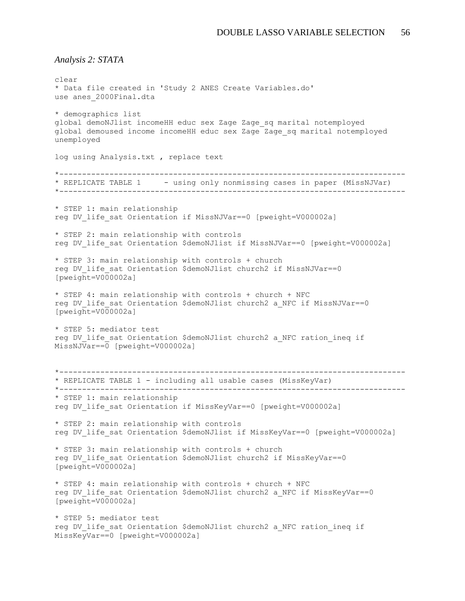*Analysis 2: STATA*

clear \* Data file created in 'Study 2 ANES Create Variables.do' use anes\_2000Final.dta \* demographics list global demoNJlist incomeHH educ sex Zage Zage\_sq marital notemployed global demoused income incomeHH educ sex Zage Zage\_sq marital notemployed unemployed log using Analysis.txt , replace text \*---------------------------------------------------------------------------- \* REPLICATE TABLE 1 - using only nonmissing cases in paper (MissNJVar) \*---------------------------------------------------------------------------- \* STEP 1: main relationship reg DV\_life\_sat Orientation if MissNJVar==0 [pweight=V000002a] \* STEP 2: main relationship with controls reg DV life sat Orientation \$demoNJlist if MissNJVar==0 [pweight=V000002a] \* STEP 3: main relationship with controls + church reg DV life sat Orientation \$demoNJlist church2 if MissNJVar==0 [pweight=V000002a] \* STEP 4: main relationship with controls + church + NFC reg DV life sat Orientation \$demoNJlist church2 a NFC if MissNJVar==0 [pweight=V000002a] \* STEP 5: mediator test reg DV life sat Orientation \$demoNJlist church2 a NFC ration ineq if MissNJVar==0 [pweight=V000002a] \*---------------------------------------------------------------------------- \* REPLICATE TABLE 1 - including all usable cases (MissKeyVar) \*---------------------------------------------------------------------------- \* STEP 1: main relationship reg DV\_life\_sat Orientation if MissKeyVar==0 [pweight=V000002a] \* STEP 2: main relationship with controls reg DV life sat Orientation \$demoNJlist if MissKeyVar==0 [pweight=V000002a] \* STEP 3: main relationship with controls + church reg DV life sat Orientation \$demoNJlist church2 if MissKeyVar==0 [pweight=V000002a] \* STEP 4: main relationship with controls + church + NFC reg DV life sat Orientation \$demoNJlist church2 a NFC if MissKeyVar==0  $[pweight=V000002a]$ \* STEP 5: mediator test reg DV life sat Orientation \$demoNJlist church2 a NFC ration ineq if MissKeyVar==0 [pweight=V000002a]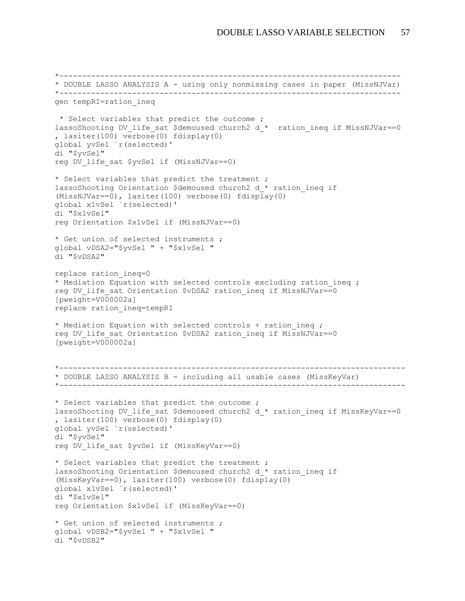```
*---------------------------------------------------------------------------
* DOUBLE LASSO ANALYSIS A - using only nonmissing cases in paper (MissNJVar)
*---------------------------------------------------------------------------
gen tempRI=ration_ineq
* Select variables that predict the outcome ;
lassoShooting DV life sat $demoused church2 d * ration ineq if MissNJVar==0
, lasiter(100) verbose(0) fdisplay(0) 
global yvSel `r(selected)' 
di "$yvSel" 
reg DV life sat $yvSel if (MissNJVar==0)
* Select variables that predict the treatment ;
lassoShooting Orientation $demoused church2 d * ration ineq if
(MissNJVar==0), lasiter(100) verbose(0) fdisplay(0) 
global x1vSel `r(selected)' 
di "$x1vSel" 
reg Orientation $x1vSel if (MissNJVar==0) 
* Get union of selected instruments ;
global vDSA2="$yvSel " + "$x1vSel " 
di "$vDSA2" 
replace ration_ineq=0
* Mediation Equation with selected controls excluding ration ineq ;
reg DV life sat Orientation $vDSA2 ration ineq if MissNJVar==0
[pweight=V000002a]
replace ration_ineq=tempRI 
* Mediation Equation with selected controls + ration ineq ;
reg DV life sat Orientation $vDSA2 ration ineq if MissNJVar==0
[pweight=V000002a]
*----------------------------------------------------------------------------
* DOUBLE LASSO ANALYSIS B - including all usable cases (MissKeyVar)
*----------------------------------------------------------------------------
* Select variables that predict the outcome ;
lassoShooting DV life sat $demoused church2 d * ration ineq if MissKeyVar==0
, lasiter(100) verbose(0) fdisplay(0) 
global yvSel `r(selected)' 
di "$yvSel" 
reg DV life sat $yvSel if (MissKeyVar==0)
* Select variables that predict the treatment ;
lassoShooting Orientation $demoused church2 d * ration ineq if
(MissKeyVar==0), lasiter(100) verbose(0) fdisplay(0) 
global x1vSel `r(selected)' 
di "$x1vSel" 
reg Orientation $x1vSel if (MissKeyVar==0) 
* Get union of selected instruments ;
global vDSB2="$yvSel " + "$x1vSel " 
di "$vDSB2"
```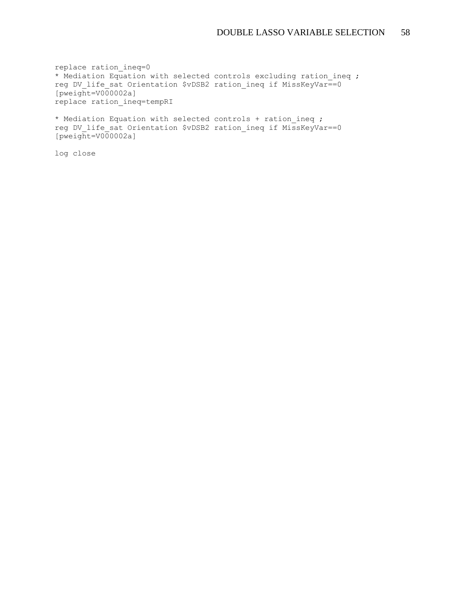replace ration\_ineq=0 \* Mediation Equation with selected controls excluding ration ineq ; reg DV\_life\_sat Orientation \$vDSB2 ration\_ineq if MissKeyVar==0  $[pweight=V000002a]$ replace ration\_ineq=tempRI

\* Mediation Equation with selected controls + ration ineq ; reg DV life sat Orientation \$vDSB2 ration ineq if MissKeyVar==0  $[pweight=V000002a]$ 

log close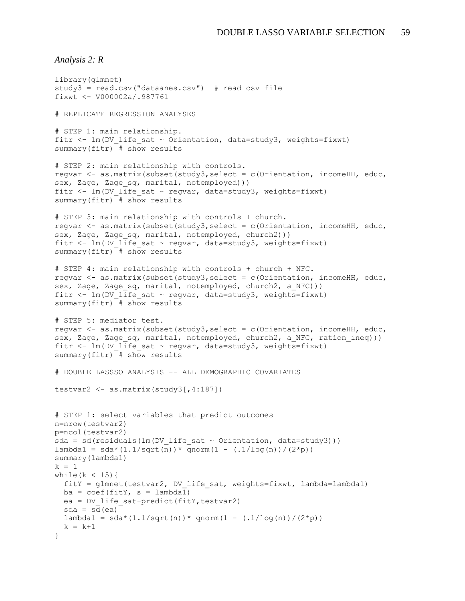*Analysis 2: R*

```
library(glmnet)
study3 = read.csv("dataanes.csv") # read csv file
fixwt <- V000002a/.987761
# REPLICATE REGRESSION ANALYSES
# STEP 1: main relationship.
fitr <- lm(DV life sat \sim Orientation, data=study3, weights=fixwt)
summary(fitr) # show results
# STEP 2: main relationship with controls.
regvar <- as.matrix(subset(study3,select = c(Orientation, incomeHH, educ, 
sex, Zage, Zage sq, marital, notemployed)))
fitr <- lm(DV life sat ~ regvar, data=study3, weights=fixwt)
summary(fitr) # show results
# STEP 3: main relationship with controls + church.
regvar <- as.matrix(subset(study3,select = c(Orientation, incomeHH, educ, 
sex, Zage, Zage sq, marital, notemployed, church2)))
fitr <- lm(DV life sat ~ regvar, data=study3, weights=fixwt)
summary(fitr) + show results
# STEP 4: main relationship with controls + church + NFC.
regvar <- as.matrix(subset(study3,select = c(Orientation, incomeHH, educ, 
sex, Zage, Zage sq, marital, notemployed, church2, a NFC)))
fitr <- lm(DV life sat ~ regvar, data=study3, weights=fixwt)
summary(fitr) # show results
# STEP 5: mediator test.
regvar <- as.matrix(subset(study3,select = c(Orientation, incomeHH, educ, 
sex, Zage, Zage sq, marital, notemployed, church2, a NFC, ration ineq)))
fitr <- lm(DV life sat ~ regvar, data=study3, weights=fixwt)
summary(fitr) \# show results
# DOUBLE LASSSO ANALYSIS -- ALL DEMOGRAPHIC COVARIATES
testvar2 <- as.matrix(study3[,4:187])
# STEP 1: select variables that predict outcomes
n=nrow(testvar2)
p=ncol(testvar2)
sda = sd(residuals(lm(DV life sat \sim Orientation, data=study3)))
lambda1 = sda * (1.1/sqrt(n)) * qnorm(1 - (.1/\log(n)) / (2*p))summary(lambda1)
k = 1while(k < 15){
 fitY = glmnet(testvar2, DV life sat, weights=fixwt, lambda=lambda1)ba = coef(fity, s = lambda1)ea = DV life sat-predict(fitY, testvar2)
  sda = sd(ea)lambda1 = sda * (1.1/sqrt(n)) * qnorm(1 - (.1/\log(n)) / (2*p))k = k+1}
```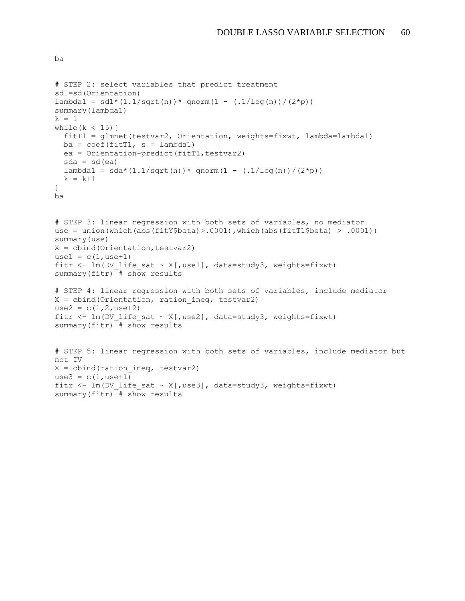```
# STEP 2: select variables that predict treatment
sd1=sd(Orientation)
lambda1 = sd1 * (1.1/sqrt(n)) * qnorm(1 - (.1/log(n)) / (2*p))summary(lambda1)
k = 1while(k < 15){
   fitT1 = glmnet(testvar2, Orientation, weights=fixwt, lambda=lambda1)
  ba = coef(fitT1, s = lambda1)ea = Orientation-predict(fitr1,testvar2)sda = sd(ea)lambda1 = sda * (1.1/sqrt(n)) * qnorm(1 - (.1/\log(n)) / (2*p))k = k+1}
ba
# STEP 3: linear regression with both sets of variables, no mediator
use = union(which(abs(fitY$beta)>.0001),which(abs(fitT1$beta) > .0001))
summary(use)
X = \text{cbind}(\text{Orientation, testvar2})use1 = c(1,use+1)fitr <- lm(DV life sat ~ X[,use1], data=study3, weights=fixwt)
summary(fitr) # show results
# STEP 4: linear regression with both sets of variables, include mediator
X = \text{cbind}(\text{Orientation}, \text{ration ineq}, \text{testvar2})use2 = c(1, 2, use+2)fitr <- lm(DV life sat ~ X[,use2], data=study3, weights=fixwt)
summary(fitr) # show results
# STEP 5: linear regression with both sets of variables, include mediator but 
not IV
X = \text{cbind}(\text{ration ineq}, \text{ testvar2})use3 = c(1,use+1)fitr <- lm(DV life sat ~ X[,use3], data=study3, weights=fixwt)
summary(fitr) # show results
```
ba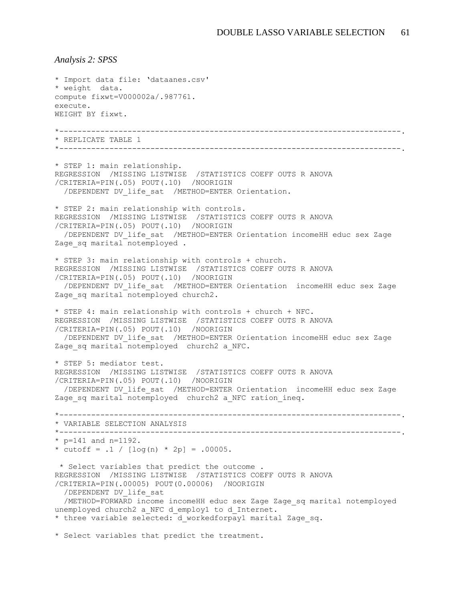*Analysis 2: SPSS* \* Import data file: 'dataanes.csv' \* weight data. compute fixwt=V000002a/.987761. execute. WEIGHT BY fixwt. \*---------------------------------------------------------------------------. \* REPLICATE TABLE 1 \*---------------------------------------------------------------------------. \* STEP 1: main relationship. REGRESSION /MISSING LISTWISE /STATISTICS COEFF OUTS R ANOVA /CRITERIA=PIN(.05) POUT(.10) /NOORIGIN /DEPENDENT DV\_life\_sat /METHOD=ENTER Orientation. \* STEP 2: main relationship with controls. REGRESSION /MISSING LISTWISE /STATISTICS COEFF OUTS R ANOVA /CRITERIA=PIN(.05) POUT(.10) /NOORIGIN /DEPENDENT DV\_life\_sat /METHOD=ENTER Orientation incomeHH educ sex Zage Zage sq marital notemployed . \* STEP 3: main relationship with controls + church. REGRESSION /MISSING LISTWISE /STATISTICS COEFF OUTS R ANOVA /CRITERIA=PIN(.05) POUT(.10) /NOORIGIN /DEPENDENT DV\_life\_sat /METHOD=ENTER Orientation incomeHH educ sex Zage Zage sq marital notemployed church2. \* STEP 4: main relationship with controls + church + NFC. REGRESSION /MISSING LISTWISE /STATISTICS COEFF OUTS R ANOVA /CRITERIA=PIN(.05) POUT(.10) /NOORIGIN /DEPENDENT DV\_life\_sat /METHOD=ENTER Orientation incomeHH educ sex Zage Zage sq marital notemployed church2 a NFC. \* STEP 5: mediator test. REGRESSION /MISSING LISTWISE /STATISTICS COEFF OUTS R ANOVA /CRITERIA=PIN(.05) POUT(.10) /NOORIGIN /DEPENDENT DV\_life\_sat /METHOD=ENTER Orientation incomeHH educ sex Zage Zage sq marital notemployed church2 a NFC ration ineq. \*---------------------------------------------------------------------------. \* VARIABLE SELECTION ANALYSIS \*---------------------------------------------------------------------------. \*  $p=141$  and  $n=1192$ . \* cutoff =  $.1 / [log(n) * 2p] = .00005$ . \* Select variables that predict the outcome . REGRESSION /MISSING LISTWISE /STATISTICS COEFF OUTS R ANOVA /CRITERIA=PIN(.00005) POUT(0.00006) /NOORIGIN /DEPENDENT DV\_life\_sat /METHOD=FORWARD income incomeHH educ sex Zage Zage\_sq marital notemployed unemployed church2 a NFC d employ1 to d Internet. \* three variable selected: d workedforpay1 marital Zage sq.

\* Select variables that predict the treatment.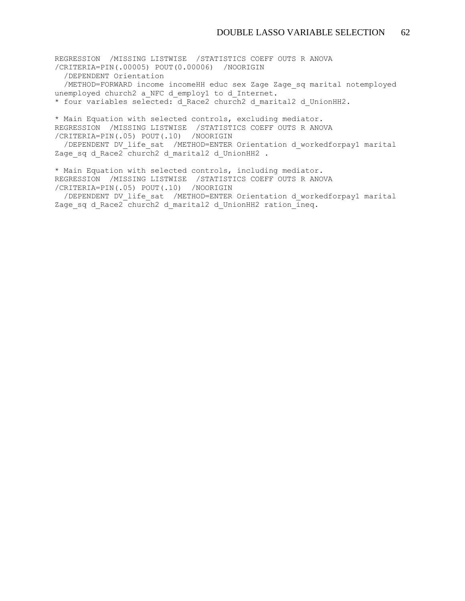REGRESSION /MISSING LISTWISE /STATISTICS COEFF OUTS R ANOVA /CRITERIA=PIN(.00005) POUT(0.00006) /NOORIGIN /DEPENDENT Orientation /METHOD=FORWARD income incomeHH educ sex Zage Zage\_sq marital notemployed unemployed church2 a NFC d employ1 to d Internet. \* four variables selected: d\_Race2 church2 d\_marital2 d\_UnionHH2.

\* Main Equation with selected controls, excluding mediator. REGRESSION /MISSING LISTWISE /STATISTICS COEFF OUTS R ANOVA /CRITERIA=PIN(.05) POUT(.10) /NOORIGIN

 /DEPENDENT DV\_life\_sat /METHOD=ENTER Orientation d\_workedforpay1 marital Zage sq d Race2 church2 d marital2 d UnionHH2 .

\* Main Equation with selected controls, including mediator. REGRESSION /MISSING LISTWISE /STATISTICS COEFF OUTS R ANOVA /CRITERIA=PIN(.05) POUT(.10) /NOORIGIN

 /DEPENDENT DV\_life\_sat /METHOD=ENTER Orientation d\_workedforpay1 marital Zage sq d Race2 church2 d marital2 d UnionHH2 ration  $\overline{ineq}$ .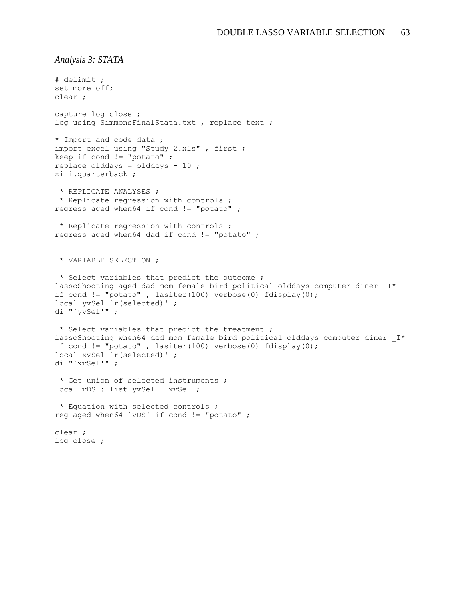*Analysis 3: STATA*

```
# delimit ;
set more off;
clear ;
capture log close ;
log using SimmonsFinalStata.txt, replace text;
* Import and code data ;
import excel using "Study 2.xls" , first ;
keep if cond != "potato" ;
replace olddays = olddays - 10 ;
xi i.quarterback ;
 * REPLICATE ANALYSES ;
* Replicate regression with controls ;
regress aged when64 if cond != "potato" ; 
* Replicate regression with controls ;
regress aged when64 dad if cond != "potato" ; 
 * VARIABLE SELECTION ;
* Select variables that predict the outcome ;
lassoShooting aged dad mom female bird political olddays computer diner I*
if cond != "potato", lasiter(100) verbose(0) fdisplay(0);
local yvSel `r(selected)' ;
di "`yvSel'" ;
* Select variables that predict the treatment ;
lassoShooting when64 dad mom female bird political olddays computer diner I*
if cond != "potato", lasiter(100) verbose(0) fdisplay(0);
local xvSel `r(selected)' ;
di "`xvSel'" ;
* Get union of selected instruments ;
local vDS : list yvSel | xvSel ;
* Equation with selected controls ;
reg aged when64 `vDS' if cond != "potato" ; 
clear ;
log close ;
```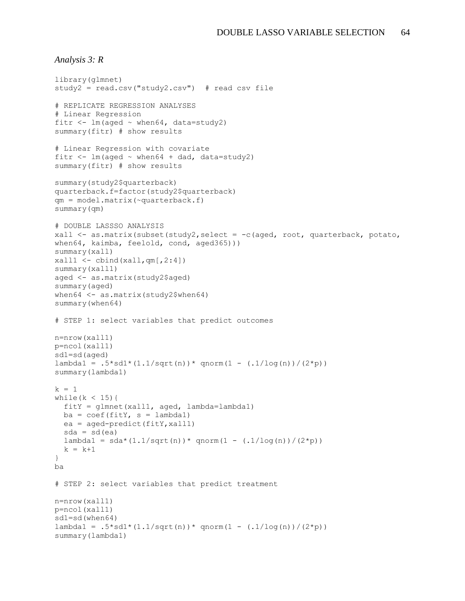```
Analysis 3: R
```

```
library(glmnet)
study2 = read.csv("study2.csv") # read csv file
# REPLICATE REGRESSION ANALYSES
# Linear Regression
fitr \langle -\lim(\text{aged } \sim \text{when} 64, \text{ data} = \text{study2})\ranglesummary(fitr) # show results
# Linear Regression with covariate
fitr \leftarrow lm(aged \sim when64 + dad, data=study2)
summary(fitr) # show results
summary(study2$quarterback)
quarterback.f=factor(study2$quarterback)
qm = model.matrix(~quarterback.f)
summary(qm)
# DOUBLE LASSSO ANALYSIS
xall <- as.matrix(subset(study2,select = -c(aged, root, quarterback, potato, 
when64, kaimba, feelold, cond, aged365)))
summary(xall)
xall1 < - \text{cbind}(xall, qm[, 2:4])summary(xall1)
aged <- as.matrix(study2$aged)
summary(aged)
when64 <- as.matrix(study2$when64)
summary(when64)
# STEP 1: select variables that predict outcomes
n=nrow(xall1)
p=ncol(xall1)
sd1=sd(aged)
lambda1 = .5 * sd1 * (1.1/sqrt(n)) * qnorm(1 - (.1/\log(n)) / (2*p))summary(lambda1)
k = 1while(k < 15){
   fitY = glmnet(xall1, aged, lambda=lambda1)
  ba = \text{coeff}(\text{fitY}, s = \text{lambda1})ea = aged-predict(fity, xall1)sda = sd(ea)lambda1 = sda * (1.1/sqrt(n)) * qnorm(1 - (.1/\log(n)) / (2*p))k = k+1}
ba
# STEP 2: select variables that predict treatment
n=nrow(xall1)
p=ncol(xall1)
sd1=sd(when64)
lambda1 = .5*sd1*(1.1/sqrt(n))*qnorm(1 - (.1/log(n))/(2*pi))summary(lambda1)
```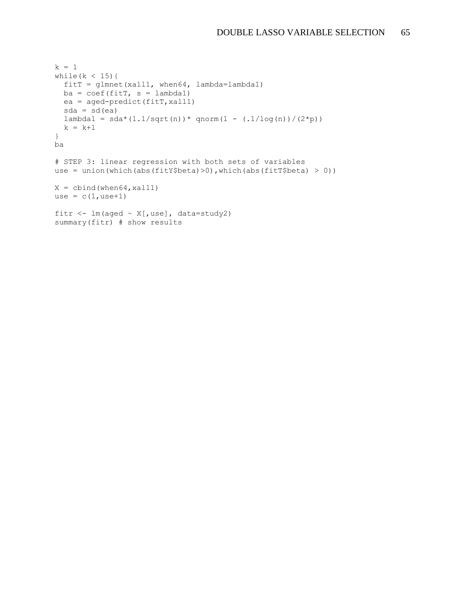```
k = 1while(k < 15){
   fitT = glmnet(xall1, when64, lambda=lambda1)
 ba = coef(fitr, s = lambda1) ea = aged-predict(fitT,xall1)
 sda = sd(ea)lambda1 = sda * (1.1/sqrt(n)) * qnorm(1 - (.1/\log(n)) / (2*p))k = k+1}
ba
# STEP 3: linear regression with both sets of variables
use = union(which(abs(fitY$beta)>0), which(abs(fitT$beta) > 0))
X = \text{cbind}(\text{when}64, \text{xall1})use = c(1,use+1)fitr \leftarrow lm(aged \sim X[, use], data=study2)
summary(fitr) # show results
```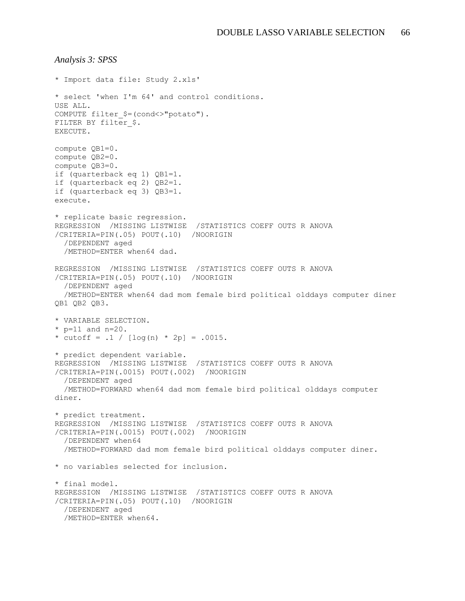```
Analysis 3: SPSS
* Import data file: Study 2.xls'
* select 'when I'm 64' and control conditions.
USE ALL.
COMPUTE filter_$=(cond<>"potato").
FILTER BY filter $.
EXECUTE.
compute QB1=0.
compute QB2=0.
compute QB3=0.
if (quarterback eq 1) QB1=1.
if (quarterback eq 2) QB2=1.
if (quarterback eq 3) QB3=1.
execute.
* replicate basic regression.
REGRESSION /MISSING LISTWISE /STATISTICS COEFF OUTS R ANOVA 
/CRITERIA=PIN(.05) POUT(.10) /NOORIGIN 
   /DEPENDENT aged
   /METHOD=ENTER when64 dad.
REGRESSION /MISSING LISTWISE /STATISTICS COEFF OUTS R ANOVA 
/CRITERIA=PIN(.05) POUT(.10) /NOORIGIN 
   /DEPENDENT aged
   /METHOD=ENTER when64 dad mom female bird political olddays computer diner 
QB1 QB2 QB3.
* VARIABLE SELECTION.
* p=11 and n=20.
* cutoff = .1 / [\log(n) * 2p] = .0015.
* predict dependent variable.
REGRESSION /MISSING LISTWISE /STATISTICS COEFF OUTS R ANOVA 
/CRITERIA=PIN(.0015) POUT(.002) /NOORIGIN 
   /DEPENDENT aged
   /METHOD=FORWARD when64 dad mom female bird political olddays computer 
diner.
* predict treatment.
REGRESSION /MISSING LISTWISE /STATISTICS COEFF OUTS R ANOVA 
/CRITERIA=PIN(.0015) POUT(.002) /NOORIGIN 
   /DEPENDENT when64
   /METHOD=FORWARD dad mom female bird political olddays computer diner.
* no variables selected for inclusion.
* final model.
REGRESSION /MISSING LISTWISE /STATISTICS COEFF OUTS R ANOVA 
/CRITERIA=PIN(.05) POUT(.10) /NOORIGIN 
   /DEPENDENT aged
   /METHOD=ENTER when64.
```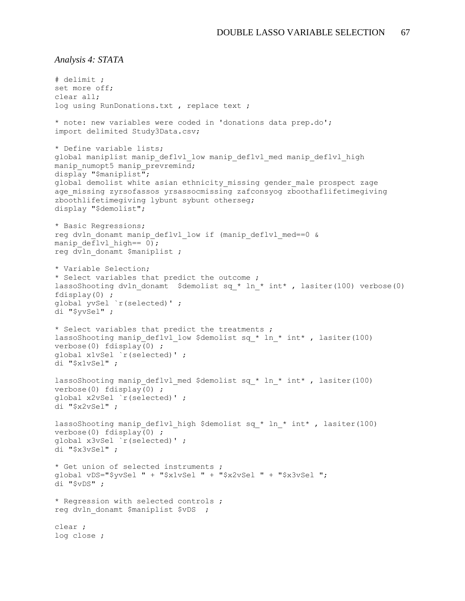*Analysis 4: STATA*

```
# delimit ;
set more off;
clear all;
log using RunDonations.txt, replace text;
* note: new variables were coded in 'donations data prep.do';
import delimited Study3Data.csv;
* Define variable lists;
global maniplist manip deflvl low manip deflvl med manip deflvl high
manip numopt5 manip prevremind;
display "$maniplist";
global demolist white asian ethnicity missing gender male prospect zage
age missing zyrsofassos yrsassocmissing zafconsyog zboothaflifetimegiving
zboothlifetimegiving lybunt sybunt otherseg;
display "$demolist";
* Basic Regressions;
reg dvln donamt manip deflvl low if (manip deflvl med==0 &
manip deflvl high == 0);
reg dvln donamt $maniplist ;
* Variable Selection;
* Select variables that predict the outcome ;
lassoShooting dvln donamt $demolist sq * ln * int* , lasiter(100) verbose(0)
fdisplay(0) ;
global yvSel `r(selected)' ;
di "$yvSel" ;
* Select variables that predict the treatments ;
lassoShooting manip deflvl low $demolist sq * ln * int* , lasiter(100)
verbose(0) fdisplay(0) ;
global x1vSel `r(selected)' ;
di "$x1vSel" ;
lassoShooting manip deflvl med $demolist sq * ln * int* , lasiter(100)
verbose(0) fdisplay(0) ;
global x2vSel `r(selected)' ;
di "$x2vSel" ;
lassoShooting manip deflvl high $demolist sq * ln * int* , lasiter(100)
verbose(0) fdisplay(0) ;
global x3vSel `r(selected)' ;
di "$x3vSel" ;
* Get union of selected instruments ;
global vDS="$yvSel " + "$x1vSel " + "$x2vSel " + "$x3vSel ";
di "$vDS" ;
* Regression with selected controls ;
reg dvln donamt $maniplist $vDS ;
clear ;
log close ;
```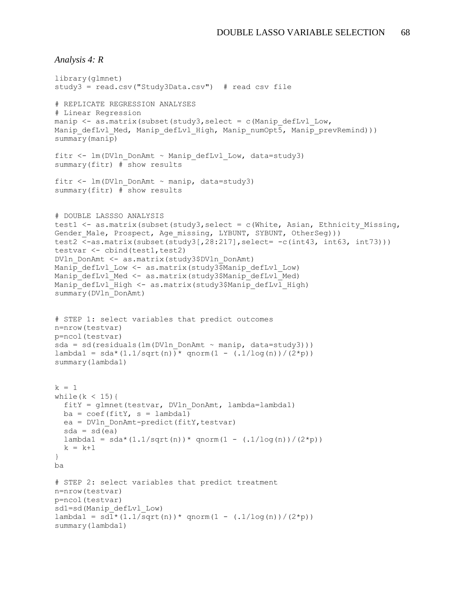```
Analysis 4: R
```

```
library(glmnet)
study3 = read.csv("Study3Data.csv") # read csv file
# REPLICATE REGRESSION ANALYSES
# Linear Regression
manip \leq as.matrix(subset(study3, select = c(Manip defLvl Low,
Manip defLvl Med, Manip defLvl High, Manip numOpt5, Manip prevRemind)))
summary(manip)
fitr \leq lm(DVln DonAmt \sim Manip defLvl Low, data=study3)
summary(fitr) # show results
fitr \leq - \ln(DV \ln D \text{on} A m t \sim \text{manip}, data=study3)
summary(fitr) # show results
# DOUBLE LASSSO ANALYSIS
test1 <- as.matrix(subset(study3, select = c(White, Asian, Ethnicity Missing,
Gender Male, Prospect, Age missing, LYBUNT, SYBUNT, OtherSeg)))
test2 <-as.matrix(subset(study3[,28:217],select= -c(int43, int63, int73)))
testvar <- cbind(test1, test2)
DVln_DonAmt <- as.matrix(study3$DVln_DonAmt)
Manip defLvl Low <- as.matrix(study3$Manip defLvl Low)
Manip defLvl Med <- as.matrix(study3$Manip defLvl Med)
Manip defLvl High <- as.matrix(study3$Manip defLvl High)
summary(DVln_DonAmt)
# STEP 1: select variables that predict outcomes
n=nrow(testvar)
p=ncol(testvar)
sda = sd(residuals(lm(DVln DonAmt ~ manip, data=study3)))lambda1 = sda * (1.1/sqrt(n)) * qnorm(1 - (.1/\log(n)) / (2*p))summary(lambda1)
k = 1while(k < 15){
  fitY = glmnet(testvar, DVln_DonAmt, lambda=lambda1)
 ba = coef(fitY, s = lambda1)ea = DVln DonAmt-predict(fitY, testvar)
 sda = sd(ea)lambda1 = sda * (1.1/sqrt(n)) * qnorm(1 - (.1/\log(n)) / (2*p))k = k+1}
ba
# STEP 2: select variables that predict treatment
n=nrow(testvar)
p=ncol(testvar)
sd1=sd(Manip_defLvl_Low)
lambda1 = sd1*(1.1/sqrt(n))*qnorm(1 - (.1/\log(n))/(2*pi))summary(lambda1)
```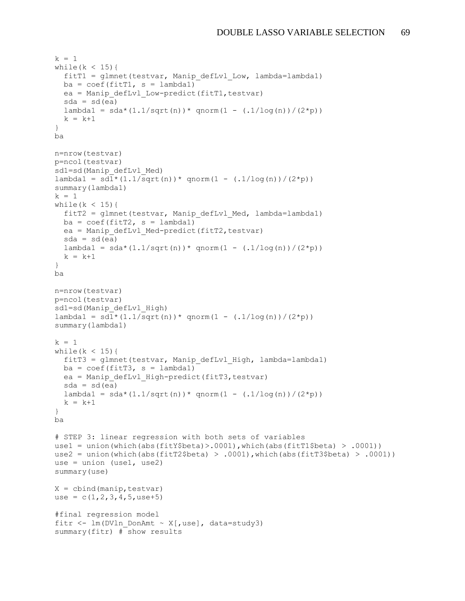```
k = 1while(k < 15){
  fitT1 = glmnet(testvar, Manip defLvl Low, lambda=lambda1)ba = coef(fitT1, s = lambda1) ea = Manip_defLvl_Low-predict(fitT1,testvar)
  sda = sd(ea)lambda1 = sda * (1.1/sqrt(n)) * qnorm(1 - (.1/\log(n)) / (2*p))k = k+1}
ba
n=nrow(testvar)
p=ncol(testvar)
sd1=sd(Manip_defLvl_Med)
lambda1 = sd1*(1.1/sqrt(n))*qnorm(1 - (.1/\log(n))/(2*pi))summary(lambda1)
k = 1while(k < 15){
 fitT2 = qlmnet(testvar, Manip defLvl Med, lambda=lambda1)ba = coef(fitT2, s = lambda1) ea = Manip_defLvl_Med-predict(fitT2,testvar)
  sda = sd(ea)lambda1 = sda * (1.1/sqrt(n)) * qnorm(1 - (.1/\log(n)) / (2*p))k = k+1}
ba
n=nrow(testvar)
p=ncol(testvar)
sd1=sd(Manip_defLvl_High)
lambda1 = sd1*(1.1/sqrt(n))*qnorm(1 - (.1/\log(n))/(2*pi))summary(lambda1)
k = 1while(k < 15){
  fitT3 = glmnet(testvar, Manip_defLvl_High, lambda=lambda1)
 ba = coef(fitT3, s = lambda1) ea = Manip_defLvl_High-predict(fitT3,testvar)
 sda = sd(ea)lambda1 = sda * (1.1/sqrt(n)) * qnorm(1 - (.1/log(n)) / (2*p))k = k+1}
ba
# STEP 3: linear regression with both sets of variables
use1 = union(which(abs(fitY$beta)>.0001),which(abs(fitT1$beta) > .0001))
use2 = union(which(abs(fitT2$beta) > .0001),which(abs(fitT3$beta) > .0001))
use = union (use1, use2)
summary(use)
X = cbind (manip, testvar)
use = c(1, 2, 3, 4, 5,use+5)
#final regression model
fitr \leq - \ln(DV \ln DonAmt \sim X[, use], data=study3)
summary(fitr) # show results
```